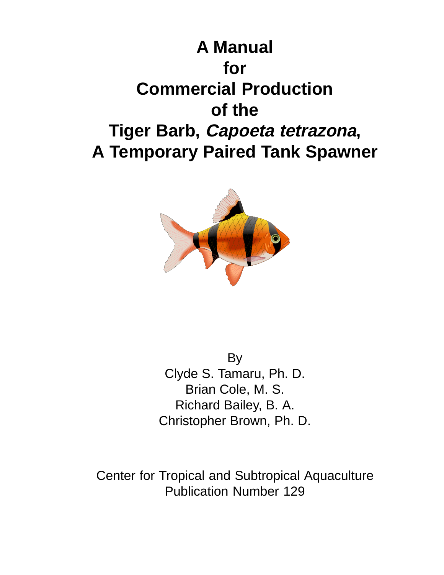



By Clyde S. Tamaru, Ph. D. Brian Cole, M. S. Richard Bailey, B. A. Christopher Brown, Ph. D.

Center for Tropical and Subtropical Aquaculture Publication Number 129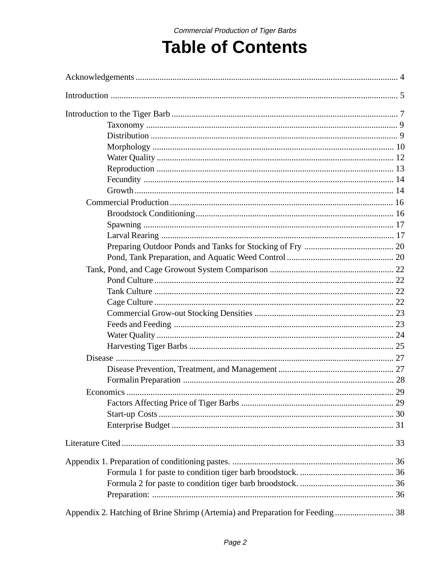# **Table of Contents**

| Appendix 2. Hatching of Brine Shrimp (Artemia) and Preparation for Feeding 38 |  |
|-------------------------------------------------------------------------------|--|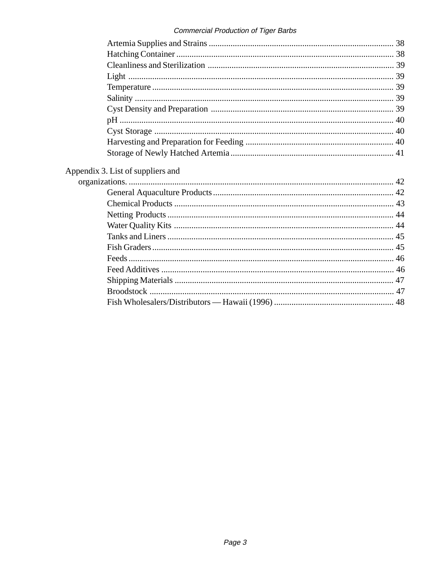| Appendix 3. List of suppliers and |  |
|-----------------------------------|--|
|                                   |  |
|                                   |  |
|                                   |  |
|                                   |  |
|                                   |  |
|                                   |  |
|                                   |  |
|                                   |  |
|                                   |  |
|                                   |  |
|                                   |  |
|                                   |  |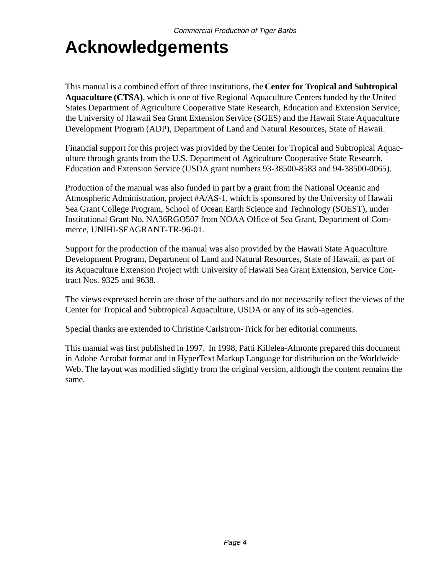# **Acknowledgements**

This manual is a combined effort of three institutions, the **Center for Tropical and Subtropical Aquaculture (CTSA)**, which is one of five Regional Aquaculture Centers funded by the United States Department of Agriculture Cooperative State Research, Education and Extension Service, the University of Hawaii Sea Grant Extension Service (SGES) and the Hawaii State Aquaculture Development Program (ADP), Department of Land and Natural Resources, State of Hawaii.

Financial support for this project was provided by the Center for Tropical and Subtropical Aquaculture through grants from the U.S. Department of Agriculture Cooperative State Research, Education and Extension Service (USDA grant numbers 93-38500-8583 and 94-38500-0065).

Production of the manual was also funded in part by a grant from the National Oceanic and Atmospheric Administration, project #A/AS-1, which is sponsored by the University of Hawaii Sea Grant College Program, School of Ocean Earth Science and Technology (SOEST), under Institutional Grant No. NA36RGO507 from NOAA Office of Sea Grant, Department of Commerce, UNIHI-SEAGRANT-TR-96-01.

Support for the production of the manual was also provided by the Hawaii State Aquaculture Development Program, Department of Land and Natural Resources, State of Hawaii, as part of its Aquaculture Extension Project with University of Hawaii Sea Grant Extension, Service Contract Nos. 9325 and 9638.

The views expressed herein are those of the authors and do not necessarily reflect the views of the Center for Tropical and Subtropical Aquaculture, USDA or any of its sub-agencies.

Special thanks are extended to Christine Carlstrom-Trick for her editorial comments.

This manual was first published in 1997. In 1998, Patti Killelea-Almonte prepared this document in Adobe Acrobat format and in HyperText Markup Language for distribution on the Worldwide Web. The layout was modified slightly from the original version, although the content remains the same.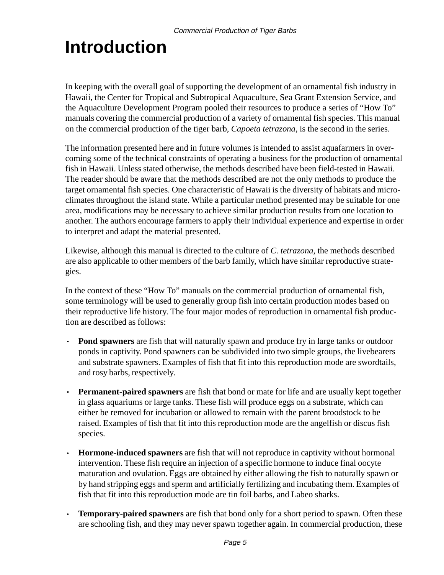# **Introduction**

In keeping with the overall goal of supporting the development of an ornamental fish industry in Hawaii, the Center for Tropical and Subtropical Aquaculture, Sea Grant Extension Service, and the Aquaculture Development Program pooled their resources to produce a series of "How To" manuals covering the commercial production of a variety of ornamental fish species. This manual on the commercial production of the tiger barb, *Capoeta tetrazona*, is the second in the series.

The information presented here and in future volumes is intended to assist aquafarmers in overcoming some of the technical constraints of operating a business for the production of ornamental fish in Hawaii. Unless stated otherwise, the methods described have been field-tested in Hawaii. The reader should be aware that the methods described are not the only methods to produce the target ornamental fish species. One characteristic of Hawaii is the diversity of habitats and microclimates throughout the island state. While a particular method presented may be suitable for one area, modifications may be necessary to achieve similar production results from one location to another. The authors encourage farmers to apply their individual experience and expertise in order to interpret and adapt the material presented.

Likewise, although this manual is directed to the culture of *C. tetrazona*, the methods described are also applicable to other members of the barb family, which have similar reproductive strategies.

In the context of these "How To" manuals on the commercial production of ornamental fish, some terminology will be used to generally group fish into certain production modes based on their reproductive life history. The four major modes of reproduction in ornamental fish production are described as follows:

- · **Pond spawners** are fish that will naturally spawn and produce fry in large tanks or outdoor ponds in captivity. Pond spawners can be subdivided into two simple groups, the livebearers and substrate spawners. Examples of fish that fit into this reproduction mode are swordtails, and rosy barbs, respectively.
- · **Permanent-paired spawners** are fish that bond or mate for life and are usually kept together in glass aquariums or large tanks. These fish will produce eggs on a substrate, which can either be removed for incubation or allowed to remain with the parent broodstock to be raised. Examples of fish that fit into this reproduction mode are the angelfish or discus fish species.
- · **Hormone-induced spawners** are fish that will not reproduce in captivity without hormonal intervention. These fish require an injection of a specific hormone to induce final oocyte maturation and ovulation. Eggs are obtained by either allowing the fish to naturally spawn or by hand stripping eggs and sperm and artificially fertilizing and incubating them. Examples of fish that fit into this reproduction mode are tin foil barbs, and Labeo sharks.
- · **Temporary-paired spawners** are fish that bond only for a short period to spawn. Often these are schooling fish, and they may never spawn together again. In commercial production, these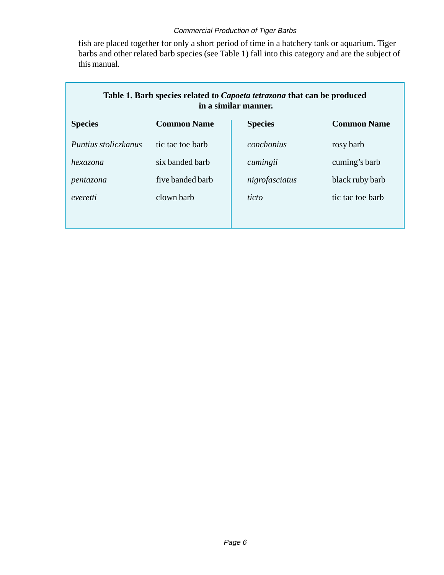fish are placed together for only a short period of time in a hatchery tank or aquarium. Tiger barbs and other related barb species (see Table 1) fall into this category and are the subject of this manual.

| Table 1. Barb species related to <i>Capoeta tetrazona</i> that can be produced<br>in a similar manner. |                    |                |                    |  |
|--------------------------------------------------------------------------------------------------------|--------------------|----------------|--------------------|--|
| <b>Species</b>                                                                                         | <b>Common Name</b> | <b>Species</b> | <b>Common Name</b> |  |
| Puntius stoliczkanus                                                                                   | tic tac toe barb   | conchonius     | rosy barb          |  |
| hexazona                                                                                               | six banded barb    | cumingii       | cuming's barb      |  |
| pentazona                                                                                              | five banded barb   | nigrofasciatus | black ruby barb    |  |
| everetti                                                                                               | clown barb         | ticto          | tic tac toe barb   |  |
|                                                                                                        |                    |                |                    |  |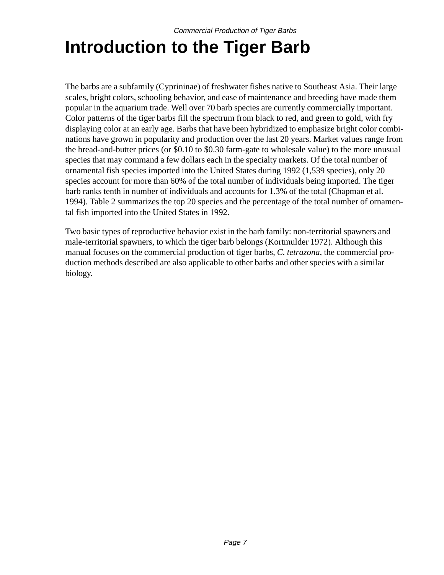# **Introduction to the Tiger Barb**

The barbs are a subfamily (Cyprininae) of freshwater fishes native to Southeast Asia. Their large scales, bright colors, schooling behavior, and ease of maintenance and breeding have made them popular in the aquarium trade. Well over 70 barb species are currently commercially important. Color patterns of the tiger barbs fill the spectrum from black to red, and green to gold, with fry displaying color at an early age. Barbs that have been hybridized to emphasize bright color combinations have grown in popularity and production over the last 20 years. Market values range from the bread-and-butter prices (or \$0.10 to \$0.30 farm-gate to wholesale value) to the more unusual species that may command a few dollars each in the specialty markets. Of the total number of ornamental fish species imported into the United States during 1992 (1,539 species), only 20 species account for more than 60% of the total number of individuals being imported. The tiger barb ranks tenth in number of individuals and accounts for 1.3% of the total (Chapman et al. 1994). Table 2 summarizes the top 20 species and the percentage of the total number of ornamental fish imported into the United States in 1992.

Two basic types of reproductive behavior exist in the barb family: non-territorial spawners and male-territorial spawners, to which the tiger barb belongs (Kortmulder 1972). Although this manual focuses on the commercial production of tiger barbs, *C. tetrazona*, the commercial production methods described are also applicable to other barbs and other species with a similar biology.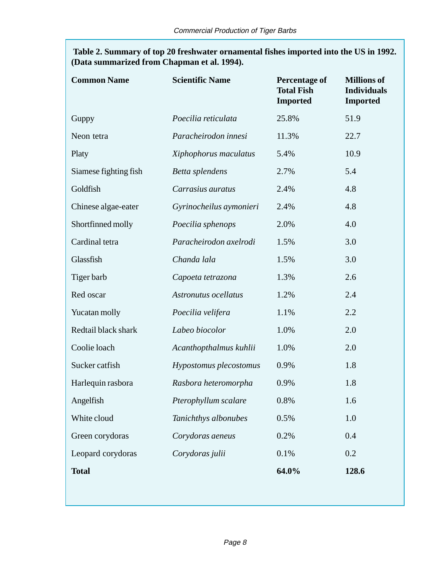**Table 2. Summary of top 20 freshwater ornamental fishes imported into the US in 1992. (Data summarized from Chapman et al. 1994).**

| <b>Common Name</b>    | <b>Scientific Name</b>  | <b>Percentage of</b><br><b>Total Fish</b><br><b>Imported</b> | <b>Millions of</b><br><b>Individuals</b><br><b>Imported</b> |
|-----------------------|-------------------------|--------------------------------------------------------------|-------------------------------------------------------------|
| Guppy                 | Poecilia reticulata     | 25.8%                                                        | 51.9                                                        |
| Neon tetra            | Paracheirodon innesi    | 11.3%                                                        | 22.7                                                        |
| Platy                 | Xiphophorus maculatus   | 5.4%                                                         | 10.9                                                        |
| Siamese fighting fish | Betta splendens         | 2.7%                                                         | 5.4                                                         |
| Goldfish              | Carrasius auratus       | 2.4%                                                         | 4.8                                                         |
| Chinese algae-eater   | Gyrinocheilus aymonieri | 2.4%                                                         | 4.8                                                         |
| Shortfinned molly     | Poecilia sphenops       | 2.0%                                                         | 4.0                                                         |
| Cardinal tetra        | Paracheirodon axelrodi  | 1.5%                                                         | 3.0                                                         |
| Glassfish             | Chanda lala             | 1.5%                                                         | 3.0                                                         |
| Tiger barb            | Capoeta tetrazona       | 1.3%                                                         | 2.6                                                         |
| Red oscar             | Astronutus ocellatus    | 1.2%                                                         | 2.4                                                         |
| Yucatan molly         | Poecilia velifera       | 1.1%                                                         | 2.2                                                         |
| Redtail black shark   | Labeo biocolor          | 1.0%                                                         | 2.0                                                         |
| Coolie loach          | Acanthopthalmus kuhlii  | 1.0%                                                         | 2.0                                                         |
| Sucker catfish        | Hypostomus plecostomus  | 0.9%                                                         | 1.8                                                         |
| Harlequin rasbora     | Rasbora heteromorpha    | 0.9%                                                         | 1.8                                                         |
| Angelfish             | Pterophyllum scalare    | 0.8%                                                         | 1.6                                                         |
| White cloud           | Tanichthys albonubes    | 0.5%                                                         | 1.0                                                         |
| Green corydoras       | Corydoras aeneus        | 0.2%                                                         | 0.4                                                         |
| Leopard corydoras     | Corydoras julii         | 0.1%                                                         | 0.2                                                         |
| <b>Total</b>          |                         | 64.0%                                                        | 128.6                                                       |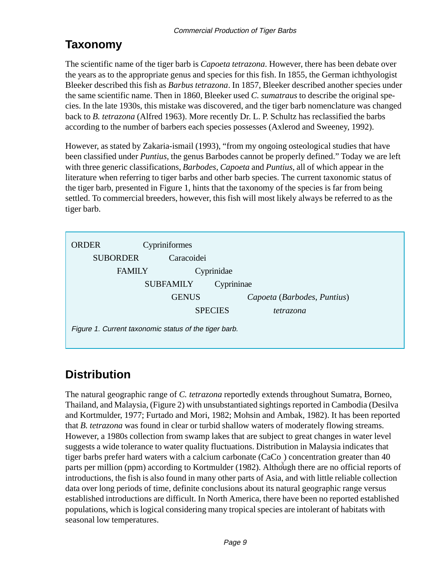### **Taxonomy**

The scientific name of the tiger barb is *Capoeta tetrazona*. However, there has been debate over the years as to the appropriate genus and species for this fish. In 1855, the German ichthyologist Bleeker described this fish as *Barbus tetrazona*. In 1857, Bleeker described another species under the same scientific name. Then in 1860, Bleeker used *C. sumatraus* to describe the original species. In the late 1930s, this mistake was discovered, and the tiger barb nomenclature was changed back to *B. tetrazona* (Alfred 1963). More recently Dr. L. P. Schultz has reclassified the barbs according to the number of barbers each species possesses (Axlerod and Sweeney, 1992).

However, as stated by Zakaria-ismail (1993), "from my ongoing osteological studies that have been classified under *Puntius*, the genus Barbodes cannot be properly defined." Today we are left with three generic classifications, *Barbodes*, *Capoeta* and *Puntius*, all of which appear in the literature when referring to tiger barbs and other barb species. The current taxonomic status of the tiger barb, presented in Figure 1, hints that the taxonomy of the species is far from being settled. To commercial breeders, however, this fish will most likely always be referred to as the tiger barb.



### **Distribution**

The natural geographic range of *C. tetrazona* reportedly extends throughout Sumatra, Borneo, Thailand, and Malaysia, (Figure 2) with unsubstantiated sightings reported in Cambodia (Desilva and Kortmulder, 1977; Furtado and Mori, 1982; Mohsin and Ambak, 1982). It has been reported that *B. tetrazona* was found in clear or turbid shallow waters of moderately flowing streams. However, a 1980s collection from swamp lakes that are subject to great changes in water level suggests a wide tolerance to water quality fluctuations. Distribution in Malaysia indicates that tiger barbs prefer hard waters with a calcium carbonate (CaCo ) concentration greater than 40 parts per million (ppm) according to Kortmulder (1982). Although there are no official reports of introductions, the fish is also found in many other parts of Asia, and with little reliable collection data over long periods of time, definite conclusions about its natural geographic range versus established introductions are difficult. In North America, there have been no reported established populations, which is logical considering many tropical species are intolerant of habitats with seasonal low temperatures.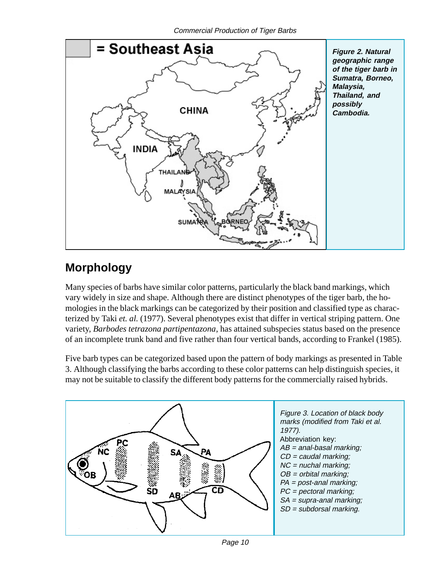

### **Morphology**

Many species of barbs have similar color patterns, particularly the black band markings, which vary widely in size and shape. Although there are distinct phenotypes of the tiger barb, the homologies in the black markings can be categorized by their position and classified type as characterized by Taki *et. al.* (1977). Several phenotypes exist that differ in vertical striping pattern. One variety, *Barbodes tetrazona partipentazona*, has attained subspecies status based on the presence of an incomplete trunk band and five rather than four vertical bands, according to Frankel (1985).

Five barb types can be categorized based upon the pattern of body markings as presented in Table 3. Although classifying the barbs according to these color patterns can help distinguish species, it may not be suitable to classify the different body patterns for the commercially raised hybrids.



Page 10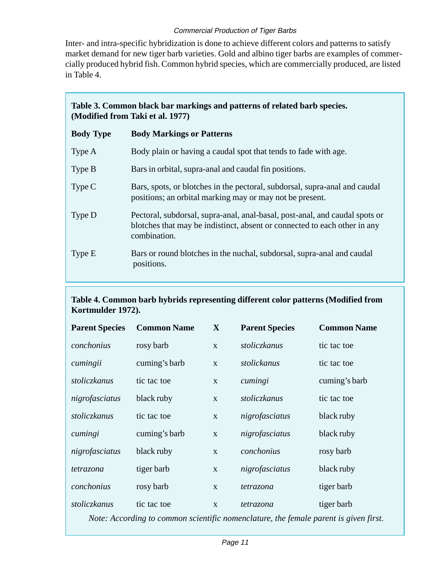Inter- and intra-specific hybridization is done to achieve different colors and patterns to satisfy market demand for new tiger barb varieties. Gold and albino tiger barbs are examples of commercially produced hybrid fish. Common hybrid species, which are commercially produced, are listed in Table 4.

### **Table 3. Common black bar markings and patterns of related barb species. (Modified from Taki et al. 1977)**

| <b>Body Type</b> | <b>Body Markings or Patterns</b>                                                                                                                                         |
|------------------|--------------------------------------------------------------------------------------------------------------------------------------------------------------------------|
| Type A           | Body plain or having a caudal spot that tends to fade with age.                                                                                                          |
| Type B           | Bars in orbital, supra-anal and caudal fin positions.                                                                                                                    |
| Type $C$         | Bars, spots, or blotches in the pectoral, subdorsal, supra-anal and caudal<br>positions; an orbital marking may or may not be present.                                   |
| Type D           | Pectoral, subdorsal, supra-anal, anal-basal, post-anal, and caudal spots or<br>blotches that may be indistinct, absent or connected to each other in any<br>combination. |
| Type E           | Bars or round blotches in the nuchal, subdorsal, supra-anal and caudal<br>positions.                                                                                     |

#### **Table 4. Common barb hybrids representing different color patterns (Modified from Kortmulder 1972).**

| <b>Parent Species</b> | <b>Common Name</b> | $\mathbf{X}$ | <b>Parent Species</b> | <b>Common Name</b> |
|-----------------------|--------------------|--------------|-----------------------|--------------------|
| conchonius            | rosy barb          | X            | stoliczkanus          | tic tac toe        |
| cumingii              | cuming's barb      | $\mathbf{X}$ | stolickanus           | tic tac toe        |
| stoliczkanus          | tic tac toe        | X            | cumingi               | cuming's barb      |
| nigrofasciatus        | black ruby         | $\mathbf{X}$ | <i>stoliczkanus</i>   | tic tac toe        |
| <i>stoliczkanus</i>   | tic tac toe        | $\mathbf{x}$ | nigrofasciatus        | black ruby         |
| cumingi               | cuming's barb      | $\mathbf{X}$ | nigrofasciatus        | black ruby         |
| nigrofasciatus        | black ruby         | $\mathbf{X}$ | conchonius            | rosy barb          |
| tetrazona             | tiger barb         | X            | nigrofasciatus        | black ruby         |
| conchonius            | rosy barb          | $\mathbf{X}$ | tetrazona             | tiger barb         |
| <i>stoliczkanus</i>   | tic tac toe        | $\mathbf{X}$ | tetrazona             | tiger barb         |

*Note: According to common scientific nomenclature, the female parent is given first.*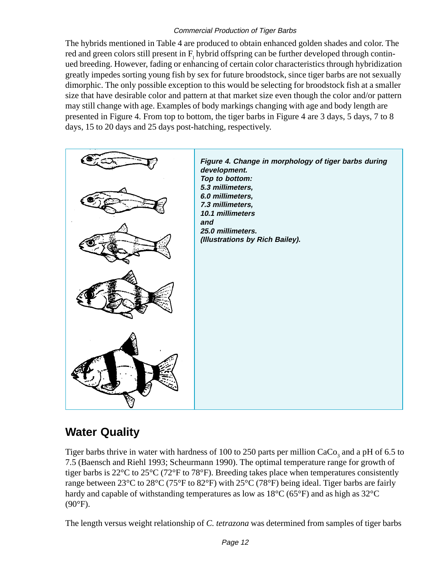The hybrids mentioned in Table 4 are produced to obtain enhanced golden shades and color. The red and green colors still present in  $F_1$  hybrid offspring can be further developed through continued breeding. However, fading or enhancing of certain color characteristics through hybridization greatly impedes sorting young fish by sex for future broodstock, since tiger barbs are not sexually dimorphic. The only possible exception to this would be selecting for broodstock fish at a smaller size that have desirable color and pattern at that market size even though the color and/or pattern may still change with age. Examples of body markings changing with age and body length are presented in Figure 4. From top to bottom, the tiger barbs in Figure 4 are 3 days, 5 days, 7 to 8 days, 15 to 20 days and 25 days post-hatching, respectively.



### **Water Quality**

Tiger barbs thrive in water with hardness of 100 to 250 parts per million  $CaCo<sub>3</sub>$  and a pH of 6.5 to 7.5 (Baensch and Riehl 1993; Scheurmann 1990). The optimal temperature range for growth of tiger barbs is 22°C to 25°C (72°F to 78°F). Breeding takes place when temperatures consistently range between 23<sup>o</sup>C to 28<sup>o</sup>C (75<sup>o</sup>F to 82<sup>o</sup>F) with 25<sup>o</sup>C (78<sup>o</sup>F) being ideal. Tiger barbs are fairly hardy and capable of withstanding temperatures as low as 18°C (65°F) and as high as 32°C  $(90^{\circ}F)$ .

The length versus weight relationship of *C. tetrazona* was determined from samples of tiger barbs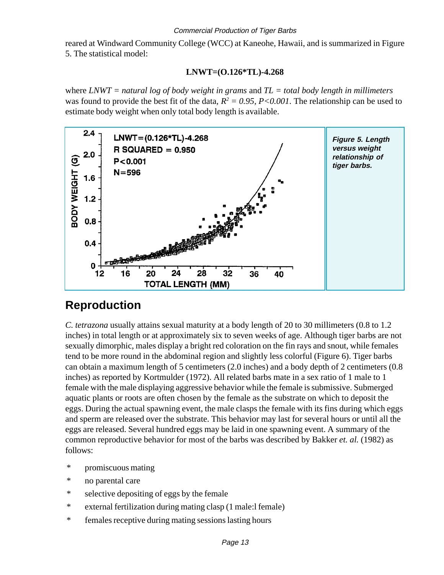reared at Windward Community College (WCC) at Kaneohe, Hawaii, and is summarized in Figure 5. The statistical model:

#### **LNWT=(O.126\*TL)-4.268**

where *LNWT = natural log of body weight in grams* and *TL = total body length in millimeters* was found to provide the best fit of the data,  $R^2 = 0.95$ ,  $P < 0.001$ . The relationship can be used to estimate body weight when only total body length is available.



### **Reproduction**

*C. tetrazona* usually attains sexual maturity at a body length of 20 to 30 millimeters (0.8 to 1.2 inches) in total length or at approximately six to seven weeks of age. Although tiger barbs are not sexually dimorphic, males display a bright red coloration on the fin rays and snout, while females tend to be more round in the abdominal region and slightly less colorful (Figure 6). Tiger barbs can obtain a maximum length of 5 centimeters (2.0 inches) and a body depth of 2 centimeters (0.8 inches) as reported by Kortmulder (1972). All related barbs mate in a sex ratio of 1 male to 1 female with the male displaying aggressive behavior while the female is submissive. Submerged aquatic plants or roots are often chosen by the female as the substrate on which to deposit the eggs. During the actual spawning event, the male clasps the female with its fins during which eggs and sperm are released over the substrate. This behavior may last for several hours or until all the eggs are released. Several hundred eggs may be laid in one spawning event. A summary of the common reproductive behavior for most of the barbs was described by Bakker *et. al.* (1982) as follows:

- \* promiscuous mating
- \* no parental care
- \* selective depositing of eggs by the female
- \* external fertilization during mating clasp (1 male:l female)
- \* females receptive during mating sessions lasting hours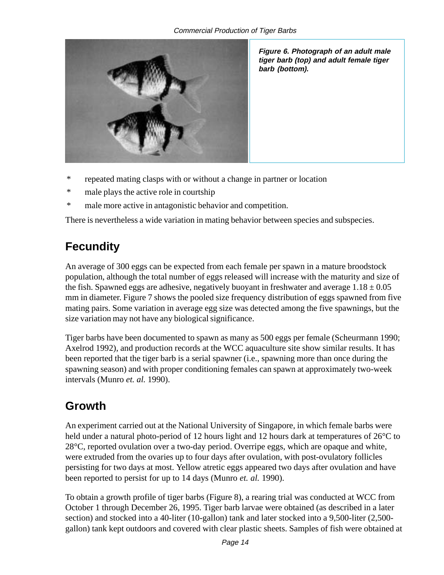

**Figure 6. Photograph of an adult male tiger barb (top) and adult female tiger barb (bottom).**

- \* repeated mating clasps with or without a change in partner or location
- \* male plays the active role in courtship
- \* male more active in antagonistic behavior and competition.

There is nevertheless a wide variation in mating behavior between species and subspecies.

### **Fecundity**

An average of 300 eggs can be expected from each female per spawn in a mature broodstock population, although the total number of eggs released will increase with the maturity and size of the fish. Spawned eggs are adhesive, negatively buoyant in freshwater and average  $1.18 \pm 0.05$ mm in diameter. Figure 7 shows the pooled size frequency distribution of eggs spawned from five mating pairs. Some variation in average egg size was detected among the five spawnings, but the size variation may not have any biological significance.

Tiger barbs have been documented to spawn as many as 500 eggs per female (Scheurmann 1990; Axelrod 1992), and production records at the WCC aquaculture site show similar results. It has been reported that the tiger barb is a serial spawner (i.e., spawning more than once during the spawning season) and with proper conditioning females can spawn at approximately two-week intervals (Munro *et. al.* 1990).

### **Growth**

An experiment carried out at the National University of Singapore, in which female barbs were held under a natural photo-period of 12 hours light and 12 hours dark at temperatures of  $26^{\circ}$ C to 28°C, reported ovulation over a two-day period. Overripe eggs, which are opaque and white, were extruded from the ovaries up to four days after ovulation, with post-ovulatory follicles persisting for two days at most. Yellow atretic eggs appeared two days after ovulation and have been reported to persist for up to 14 days (Munro *et. al.* 1990).

To obtain a growth profile of tiger barbs (Figure 8), a rearing trial was conducted at WCC from October 1 through December 26, 1995. Tiger barb larvae were obtained (as described in a later section) and stocked into a 40-liter (10-gallon) tank and later stocked into a 9,500-liter (2,500 gallon) tank kept outdoors and covered with clear plastic sheets. Samples of fish were obtained at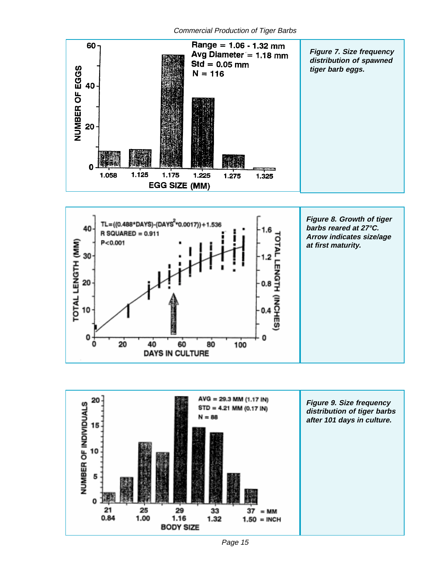





Page 15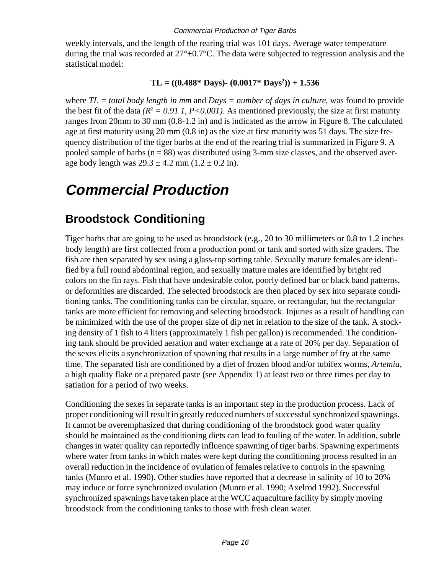weekly intervals, and the length of the rearing trial was 101 days. Average water temperature during the trial was recorded at  $27^{\circ} \pm 0.7^{\circ}$ C. The data were subjected to regression analysis and the statistical model:

#### $TL = ((0.488 * \text{ Days}) - (0.0017 * \text{ Days}^2)) + 1.536$

where *TL = total body length in mm* and *Days = number of days in culture*, was found to provide the best fit of the data  $(R^2 = 0.91 I, P < 0.001)$ . As mentioned previously, the size at first maturity ranges from 20mm to 30 mm (0.8-1.2 in) and is indicated as the arrow in Figure 8. The calculated age at first maturity using 20 mm (0.8 in) as the size at first maturity was 51 days. The size frequency distribution of the tiger barbs at the end of the rearing trial is summarized in Figure 9. A pooled sample of barbs  $(n = 88)$  was distributed using 3-mm size classes, and the observed average body length was  $29.3 \pm 4.2$  mm  $(1.2 \pm 0.2$  in).

## **Commercial Production**

### **Broodstock Conditioning**

Tiger barbs that are going to be used as broodstock (e.g., 20 to 30 millimeters or 0.8 to 1.2 inches body length) are first collected from a production pond or tank and sorted with size graders. The fish are then separated by sex using a glass-top sorting table. Sexually mature females are identified by a full round abdominal region, and sexually mature males are identified by bright red colors on the fin rays. Fish that have undesirable color, poorly defined bar or black band patterns, or deformities are discarded. The selected broodstock are then placed by sex into separate conditioning tanks. The conditioning tanks can be circular, square, or rectangular, but the rectangular tanks are more efficient for removing and selecting broodstock. Injuries as a result of handling can be minimized with the use of the proper size of dip net in relation to the size of the tank. A stocking density of 1 fish to 4 liters (approximately 1 fish per gallon) is recommended. The conditioning tank should be provided aeration and water exchange at a rate of 20% per day. Separation of the sexes elicits a synchronization of spawning that results in a large number of fry at the same time. The separated fish are conditioned by a diet of frozen blood and/or tubifex worms, *Artemia*, a high quality flake or a prepared paste (see Appendix 1) at least two or three times per day to satiation for a period of two weeks.

Conditioning the sexes in separate tanks is an important step in the production process. Lack of proper conditioning will result in greatly reduced numbers of successful synchronized spawnings. It cannot be overemphasized that during conditioning of the broodstock good water quality should be maintained as the conditioning diets can lead to fouling of the water. In addition, subtle changes in water quality can reportedly influence spawning of tiger barbs. Spawning experiments where water from tanks in which males were kept during the conditioning process resulted in an overall reduction in the incidence of ovulation of females relative to controls in the spawning tanks (Munro et al. 1990). Other studies have reported that a decrease in salinity of 10 to 20% may induce or force synchronized ovulation (Munro et al. 1990; Axelrod 1992). Successful synchronized spawnings have taken place at the WCC aquaculture facility by simply moving broodstock from the conditioning tanks to those with fresh clean water.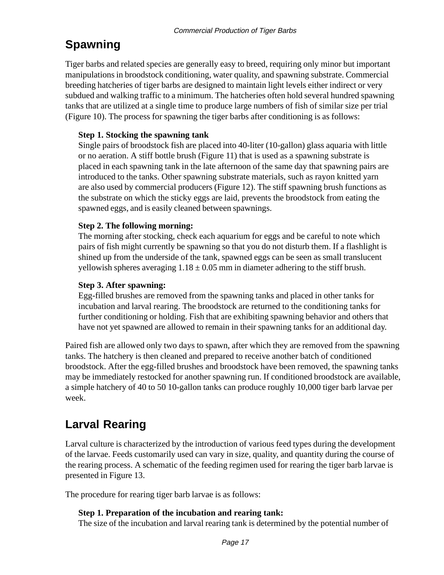## **Spawning**

Tiger barbs and related species are generally easy to breed, requiring only minor but important manipulations in broodstock conditioning, water quality, and spawning substrate. Commercial breeding hatcheries of tiger barbs are designed to maintain light levels either indirect or very subdued and walking traffic to a minimum. The hatcheries often hold several hundred spawning tanks that are utilized at a single time to produce large numbers of fish of similar size per trial (Figure 10). The process for spawning the tiger barbs after conditioning is as follows:

### **Step 1. Stocking the spawning tank**

Single pairs of broodstock fish are placed into 40-liter (10-gallon) glass aquaria with little or no aeration. A stiff bottle brush (Figure 11) that is used as a spawning substrate is placed in each spawning tank in the late afternoon of the same day that spawning pairs are introduced to the tanks. Other spawning substrate materials, such as rayon knitted yarn are also used by commercial producers (Figure 12). The stiff spawning brush functions as the substrate on which the sticky eggs are laid, prevents the broodstock from eating the spawned eggs, and is easily cleaned between spawnings.

#### **Step 2. The following morning:**

The morning after stocking, check each aquarium for eggs and be careful to note which pairs of fish might currently be spawning so that you do not disturb them. If a flashlight is shined up from the underside of the tank, spawned eggs can be seen as small translucent yellowish spheres averaging  $1.18 \pm 0.05$  mm in diameter adhering to the stiff brush.

#### **Step 3. After spawning:**

Egg-filled brushes are removed from the spawning tanks and placed in other tanks for incubation and larval rearing. The broodstock are returned to the conditioning tanks for further conditioning or holding. Fish that are exhibiting spawning behavior and others that have not yet spawned are allowed to remain in their spawning tanks for an additional day.

Paired fish are allowed only two days to spawn, after which they are removed from the spawning tanks. The hatchery is then cleaned and prepared to receive another batch of conditioned broodstock. After the egg-filled brushes and broodstock have been removed, the spawning tanks may be immediately restocked for another spawning run. If conditioned broodstock are available, a simple hatchery of 40 to 50 10-gallon tanks can produce roughly 10,000 tiger barb larvae per week.

### **Larval Rearing**

Larval culture is characterized by the introduction of various feed types during the development of the larvae. Feeds customarily used can vary in size, quality, and quantity during the course of the rearing process. A schematic of the feeding regimen used for rearing the tiger barb larvae is presented in Figure 13.

The procedure for rearing tiger barb larvae is as follows:

#### **Step 1. Preparation of the incubation and rearing tank:**

The size of the incubation and larval rearing tank is determined by the potential number of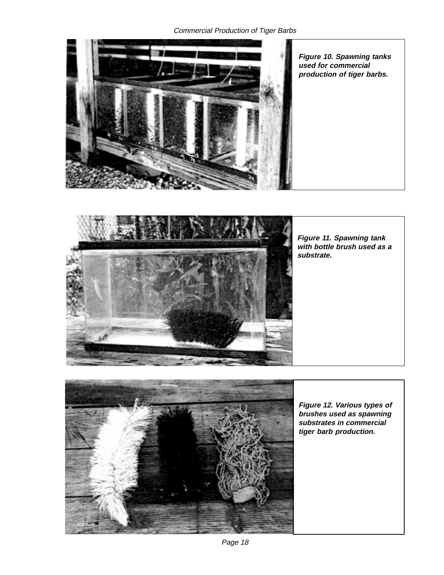Commercial Production of Tiger Barbs





**Figure 11. Spawning tank with bottle brush used as a substrate.**



**Figure 12. Various types of brushes used as spawning substrates in commercial tiger barb production.**

Page 18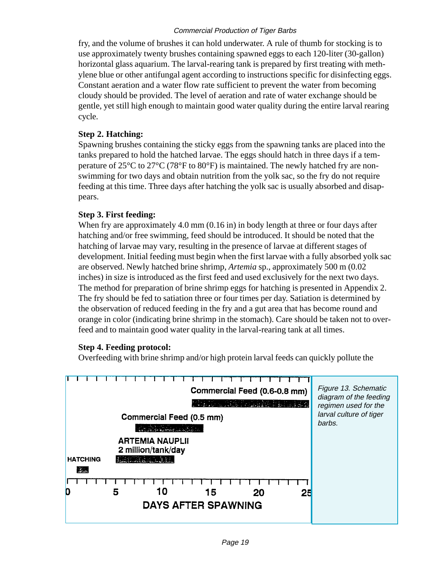fry, and the volume of brushes it can hold underwater. A rule of thumb for stocking is to use approximately twenty brushes containing spawned eggs to each 120-liter (30-gallon) horizontal glass aquarium. The larval-rearing tank is prepared by first treating with methylene blue or other antifungal agent according to instructions specific for disinfecting eggs. Constant aeration and a water flow rate sufficient to prevent the water from becoming cloudy should be provided. The level of aeration and rate of water exchange should be gentle, yet still high enough to maintain good water quality during the entire larval rearing cycle.

#### **Step 2. Hatching:**

Spawning brushes containing the sticky eggs from the spawning tanks are placed into the tanks prepared to hold the hatched larvae. The eggs should hatch in three days if a temperature of 25°C to 27°C (78°F to 80°F) is maintained. The newly hatched fry are nonswimming for two days and obtain nutrition from the yolk sac, so the fry do not require feeding at this time. Three days after hatching the yolk sac is usually absorbed and disappears.

#### **Step 3. First feeding:**

When fry are approximately 4.0 mm (0.16 in) in body length at three or four days after hatching and/or free swimming, feed should be introduced. It should be noted that the hatching of larvae may vary, resulting in the presence of larvae at different stages of development. Initial feeding must begin when the first larvae with a fully absorbed yolk sac are observed. Newly hatched brine shrimp, *Artemia* sp., approximately 500 m (0.02 inches) in size is introduced as the first feed and used exclusively for the next two days. The method for preparation of brine shrimp eggs for hatching is presented in Appendix 2. The fry should be fed to satiation three or four times per day. Satiation is determined by the observation of reduced feeding in the fry and a gut area that has become round and orange in color (indicating brine shrimp in the stomach). Care should be taken not to overfeed and to maintain good water quality in the larval-rearing tank at all times.

#### **Step 4. Feeding protocol:**

Overfeeding with brine shrimp and/or high protein larval feeds can quickly pollute the

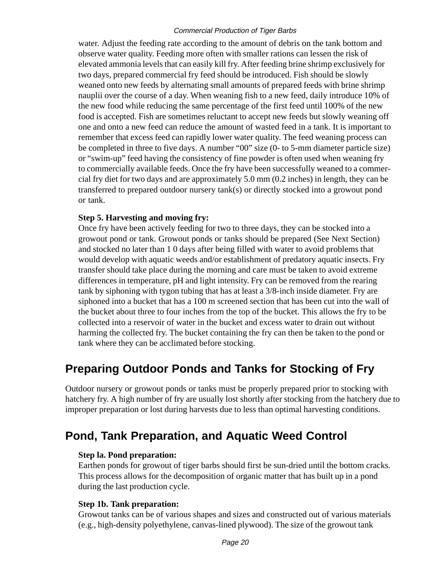water. Adjust the feeding rate according to the amount of debris on the tank bottom and observe water quality. Feeding more often with smaller rations can lessen the risk of elevated ammonia levels that can easily kill fry. After feeding brine shrimp exclusively for two days, prepared commercial fry feed should be introduced. Fish should be slowly weaned onto new feeds by alternating small amounts of prepared feeds with brine shrimp nauplii over the course of a day. When weaning fish to a new feed, daily introduce 10% of the new food while reducing the same percentage of the first feed until 100% of the new food is accepted. Fish are sometimes reluctant to accept new feeds but slowly weaning off one and onto a new feed can reduce the amount of wasted feed in a tank. It is important to remember that excess feed can rapidly lower water quality. The feed weaning process can be completed in three to five days. A number "00" size (0- to 5-mm diameter particle size) or "swim-up" feed having the consistency of fine powder is often used when weaning fry to commercially available feeds. Once the fry have been successfully weaned to a commercial fry diet for two days and are approximately 5.0 mm (0.2 inches) in length, they can be transferred to prepared outdoor nursery tank(s) or directly stocked into a growout pond or tank.

#### **Step 5. Harvesting and moving fry:**

Once fry have been actively feeding for two to three days, they can be stocked into a growout pond or tank. Growout ponds or tanks should be prepared (See Next Section) and stocked no later than 1 0 days after being filled with water to avoid problems that would develop with aquatic weeds and/or establishment of predatory aquatic insects. Fry transfer should take place during the morning and care must be taken to avoid extreme differences in temperature, pH and light intensity. Fry can be removed from the rearing tank by siphoning with tygon tubing that has at least a 3/8-inch inside diameter. Fry are siphoned into a bucket that has a 100 m screened section that has been cut into the wall of the bucket about three to four inches from the top of the bucket. This allows the fry to be collected into a reservoir of water in the bucket and excess water to drain out without harming the collected fry. The bucket containing the fry can then be taken to the pond or tank where they can be acclimated before stocking.

### **Preparing Outdoor Ponds and Tanks for Stocking of Fry**

Outdoor nursery or growout ponds or tanks must be properly prepared prior to stocking with hatchery fry. A high number of fry are usually lost shortly after stocking from the hatchery due to improper preparation or lost during harvests due to less than optimal harvesting conditions.

### **Pond, Tank Preparation, and Aquatic Weed Control**

#### **Step la. Pond preparation:**

Earthen ponds for growout of tiger barbs should first be sun-dried until the bottom cracks. This process allows for the decomposition of organic matter that has built up in a pond during the last production cycle.

#### **Step 1b. Tank preparation:**

Growout tanks can be of various shapes and sizes and constructed out of various materials (e.g., high-density polyethylene, canvas-lined plywood). The size of the growout tank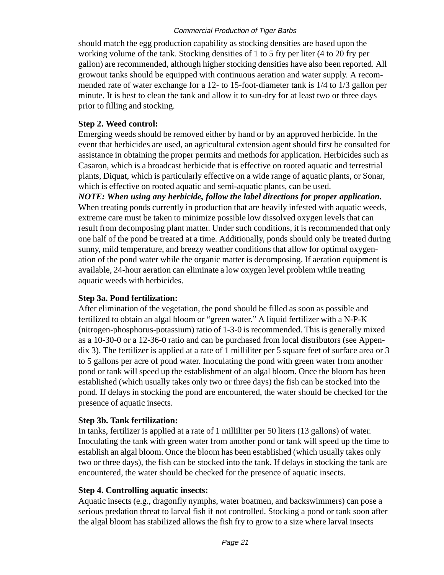should match the egg production capability as stocking densities are based upon the working volume of the tank. Stocking densities of 1 to 5 fry per liter (4 to 20 fry per gallon) are recommended, although higher stocking densities have also been reported. All growout tanks should be equipped with continuous aeration and water supply. A recommended rate of water exchange for a 12- to 15-foot-diameter tank is 1/4 to 1/3 gallon per minute. It is best to clean the tank and allow it to sun-dry for at least two or three days prior to filling and stocking.

#### **Step 2. Weed control:**

Emerging weeds should be removed either by hand or by an approved herbicide. In the event that herbicides are used, an agricultural extension agent should first be consulted for assistance in obtaining the proper permits and methods for application. Herbicides such as Casaron, which is a broadcast herbicide that is effective on rooted aquatic and terrestrial plants, Diquat, which is particularly effective on a wide range of aquatic plants, or Sonar, which is effective on rooted aquatic and semi-aquatic plants, can be used.

*NOTE: When using any herbicide, follow the label directions for proper application.* When treating ponds currently in production that are heavily infested with aquatic weeds, extreme care must be taken to minimize possible low dissolved oxygen levels that can result from decomposing plant matter. Under such conditions, it is recommended that only one half of the pond be treated at a time. Additionally, ponds should only be treated during sunny, mild temperature, and breezy weather conditions that allow for optimal oxygenation of the pond water while the organic matter is decomposing. If aeration equipment is available, 24-hour aeration can eliminate a low oxygen level problem while treating aquatic weeds with herbicides.

#### **Step 3a. Pond fertilization:**

After elimination of the vegetation, the pond should be filled as soon as possible and fertilized to obtain an algal bloom or "green water." A liquid fertilizer with a N-P-K (nitrogen-phosphorus-potassium) ratio of 1-3-0 is recommended. This is generally mixed as a 10-30-0 or a 12-36-0 ratio and can be purchased from local distributors (see Appendix 3). The fertilizer is applied at a rate of 1 milliliter per 5 square feet of surface area or 3 to 5 gallons per acre of pond water. Inoculating the pond with green water from another pond or tank will speed up the establishment of an algal bloom. Once the bloom has been established (which usually takes only two or three days) the fish can be stocked into the pond. If delays in stocking the pond are encountered, the water should be checked for the presence of aquatic insects.

#### **Step 3b. Tank fertilization:**

In tanks, fertilizer is applied at a rate of 1 milliliter per 50 liters (13 gallons) of water. Inoculating the tank with green water from another pond or tank will speed up the time to establish an algal bloom. Once the bloom has been established (which usually takes only two or three days), the fish can be stocked into the tank. If delays in stocking the tank are encountered, the water should be checked for the presence of aquatic insects.

#### **Step 4. Controlling aquatic insects:**

Aquatic insects (e.g., dragonfly nymphs, water boatmen, and backswimmers) can pose a serious predation threat to larval fish if not controlled. Stocking a pond or tank soon after the algal bloom has stabilized allows the fish fry to grow to a size where larval insects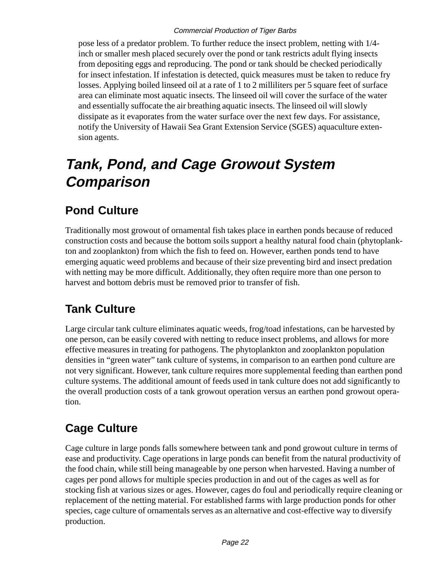pose less of a predator problem. To further reduce the insect problem, netting with 1/4 inch or smaller mesh placed securely over the pond or tank restricts adult flying insects from depositing eggs and reproducing. The pond or tank should be checked periodically for insect infestation. If infestation is detected, quick measures must be taken to reduce fry losses. Applying boiled linseed oil at a rate of 1 to 2 milliliters per 5 square feet of surface area can eliminate most aquatic insects. The linseed oil will cover the surface of the water and essentially suffocate the air breathing aquatic insects. The linseed oil will slowly dissipate as it evaporates from the water surface over the next few days. For assistance, notify the University of Hawaii Sea Grant Extension Service (SGES) aquaculture extension agents.

# **Tank, Pond, and Cage Growout System Comparison**

### **Pond Culture**

Traditionally most growout of ornamental fish takes place in earthen ponds because of reduced construction costs and because the bottom soils support a healthy natural food chain (phytoplankton and zooplankton) from which the fish to feed on. However, earthen ponds tend to have emerging aquatic weed problems and because of their size preventing bird and insect predation with netting may be more difficult. Additionally, they often require more than one person to harvest and bottom debris must be removed prior to transfer of fish.

### **Tank Culture**

Large circular tank culture eliminates aquatic weeds, frog/toad infestations, can be harvested by one person, can be easily covered with netting to reduce insect problems, and allows for more effective measures in treating for pathogens. The phytoplankton and zooplankton population densities in "green water" tank culture of systems, in comparison to an earthen pond culture are not very significant. However, tank culture requires more supplemental feeding than earthen pond culture systems. The additional amount of feeds used in tank culture does not add significantly to the overall production costs of a tank growout operation versus an earthen pond growout operation.

### **Cage Culture**

Cage culture in large ponds falls somewhere between tank and pond growout culture in terms of ease and productivity. Cage operations in large ponds can benefit from the natural productivity of the food chain, while still being manageable by one person when harvested. Having a number of cages per pond allows for multiple species production in and out of the cages as well as for stocking fish at various sizes or ages. However, cages do foul and periodically require cleaning or replacement of the netting material. For established farms with large production ponds for other species, cage culture of ornamentals serves as an alternative and cost-effective way to diversify production.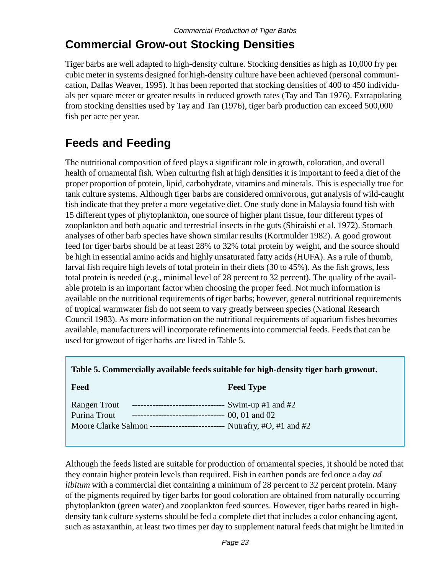### **Commercial Grow-out Stocking Densities**

Tiger barbs are well adapted to high-density culture. Stocking densities as high as 10,000 fry per cubic meter in systems designed for high-density culture have been achieved (personal communication, Dallas Weaver, 1995). It has been reported that stocking densities of 400 to 450 individuals per square meter or greater results in reduced growth rates (Tay and Tan 1976). Extrapolating from stocking densities used by Tay and Tan (1976), tiger barb production can exceed 500,000 fish per acre per year.

### **Feeds and Feeding**

The nutritional composition of feed plays a significant role in growth, coloration, and overall health of ornamental fish. When culturing fish at high densities it is important to feed a diet of the proper proportion of protein, lipid, carbohydrate, vitamins and minerals. This is especially true for tank culture systems. Although tiger barbs are considered omnivorous, gut analysis of wild-caught fish indicate that they prefer a more vegetative diet. One study done in Malaysia found fish with 15 different types of phytoplankton, one source of higher plant tissue, four different types of zooplankton and both aquatic and terrestrial insects in the guts (Shiraishi et al. 1972). Stomach analyses of other barb species have shown similar results (Kortmulder 1982). A good growout feed for tiger barbs should be at least 28% to 32% total protein by weight, and the source should be high in essential amino acids and highly unsaturated fatty acids (HUFA). As a rule of thumb, larval fish require high levels of total protein in their diets (30 to 45%). As the fish grows, less total protein is needed (e.g., minimal level of 28 percent to 32 percent). The quality of the available protein is an important factor when choosing the proper feed. Not much information is available on the nutritional requirements of tiger barbs; however, general nutritional requirements of tropical warmwater fish do not seem to vary greatly between species (National Research Council 1983). As more information on the nutritional requirements of aquarium fishes becomes available, manufacturers will incorporate refinements into commercial feeds. Feeds that can be used for growout of tiger barbs are listed in Table 5.

|  | Table 5. Commercially available feeds suitable for high-density tiger barb growout. |  |  |
|--|-------------------------------------------------------------------------------------|--|--|
|  |                                                                                     |  |  |

#### **Feed Type** Feed Type

| <b>Rangen Trout</b> | --------------------------------- Swim-up #1 and #2                                |  |
|---------------------|------------------------------------------------------------------------------------|--|
| Purina Trout        | -------------------------------- 00, 01 and 02                                     |  |
|                     | Moore Clarke Salmon ---------------------------- Nutrafry, $\#O$ , $\#1$ and $\#2$ |  |

Although the feeds listed are suitable for production of ornamental species, it should be noted that they contain higher protein levels than required. Fish in earthen ponds are fed once a day *ad libitum* with a commercial diet containing a minimum of 28 percent to 32 percent protein. Many of the pigments required by tiger barbs for good coloration are obtained from naturally occurring phytoplankton (green water) and zooplankton feed sources. However, tiger barbs reared in highdensity tank culture systems should be fed a complete diet that includes a color enhancing agent, such as astaxanthin, at least two times per day to supplement natural feeds that might be limited in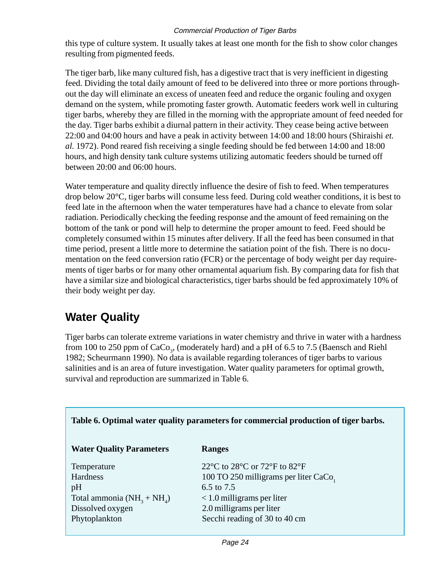this type of culture system. It usually takes at least one month for the fish to show color changes resulting from pigmented feeds.

The tiger barb, like many cultured fish, has a digestive tract that is very inefficient in digesting feed. Dividing the total daily amount of feed to be delivered into three or more portions throughout the day will eliminate an excess of uneaten feed and reduce the organic fouling and oxygen demand on the system, while promoting faster growth. Automatic feeders work well in culturing tiger barbs, whereby they are filled in the morning with the appropriate amount of feed needed for the day. Tiger barbs exhibit a diurnal pattern in their activity. They cease being active between 22:00 and 04:00 hours and have a peak in activity between 14:00 and 18:00 hours (Shiraishi *et. al.* 1972). Pond reared fish receiving a single feeding should be fed between 14:00 and 18:00 hours, and high density tank culture systems utilizing automatic feeders should be turned off between 20:00 and 06:00 hours.

Water temperature and quality directly influence the desire of fish to feed. When temperatures drop below  $20^{\circ}$ C, tiger barbs will consume less feed. During cold weather conditions, it is best to feed late in the afternoon when the water temperatures have had a chance to elevate from solar radiation. Periodically checking the feeding response and the amount of feed remaining on the bottom of the tank or pond will help to determine the proper amount to feed. Feed should be completely consumed within 15 minutes after delivery. If all the feed has been consumed in that time period, present a little more to determine the satiation point of the fish. There is no documentation on the feed conversion ratio (FCR) or the percentage of body weight per day requirements of tiger barbs or for many other ornamental aquarium fish. By comparing data for fish that have a similar size and biological characteristics, tiger barbs should be fed approximately 10% of their body weight per day.

### **Water Quality**

Tiger barbs can tolerate extreme variations in water chemistry and thrive in water with a hardness from 100 to 250 ppm of  $\rm CaCo_{3^{\prime}}$  (moderately hard) and a pH of 6.5 to 7.5 (Baensch and Riehl 1982; Scheurmann 1990). No data is available regarding tolerances of tiger barbs to various salinities and is an area of future investigation. Water quality parameters for optimal growth, survival and reproduction are summarized in Table 6.

| Table 6. Optimal water quality parameters for commercial production of tiger barbs. |                                                                                          |  |  |
|-------------------------------------------------------------------------------------|------------------------------------------------------------------------------------------|--|--|
| <b>Water Quality Parameters</b>                                                     | <b>Ranges</b>                                                                            |  |  |
| Temperature                                                                         | 22 $\rm{^{\circ}C}$ to 28 $\rm{^{\circ}C}$ or 72 $\rm{^{\circ}F}$ to 82 $\rm{^{\circ}F}$ |  |  |
| <b>Hardness</b>                                                                     | 100 TO 250 milligrams per liter CaCo,                                                    |  |  |
| pH                                                                                  | 6.5 to 7.5                                                                               |  |  |
| Total ammonia $(NH_3 + NH_4)$                                                       | $< 1.0$ milligrams per liter                                                             |  |  |
| Dissolved oxygen                                                                    | 2.0 milligrams per liter                                                                 |  |  |
| Phytoplankton                                                                       | Secchi reading of 30 to 40 cm                                                            |  |  |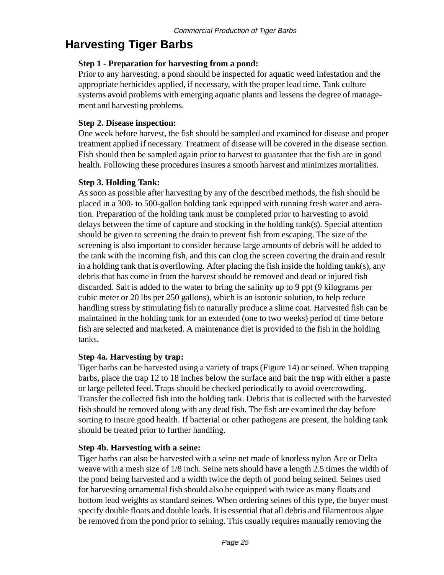### **Harvesting Tiger Barbs**

#### **Step 1 - Preparation for harvesting from a pond:**

Prior to any harvesting, a pond should be inspected for aquatic weed infestation and the appropriate herbicides applied, if necessary, with the proper lead time. Tank culture systems avoid problems with emerging aquatic plants and lessens the degree of management and harvesting problems.

#### **Step 2. Disease inspection:**

One week before harvest, the fish should be sampled and examined for disease and proper treatment applied if necessary. Treatment of disease will be covered in the disease section. Fish should then be sampled again prior to harvest to guarantee that the fish are in good health. Following these procedures insures a smooth harvest and minimizes mortalities.

#### **Step 3. Holding Tank:**

As soon as possible after harvesting by any of the described methods, the fish should be placed in a 300- to 500-gallon holding tank equipped with running fresh water and aeration. Preparation of the holding tank must be completed prior to harvesting to avoid delays between the time of capture and stocking in the holding tank(s). Special attention should be given to screening the drain to prevent fish from escaping. The size of the screening is also important to consider because large amounts of debris will be added to the tank with the incoming fish, and this can clog the screen covering the drain and result in a holding tank that is overflowing. After placing the fish inside the holding tank(s), any debris that has come in from the harvest should be removed and dead or injured fish discarded. Salt is added to the water to bring the salinity up to 9 ppt (9 kilograms per cubic meter or 20 lbs per 250 gallons), which is an isotonic solution, to help reduce handling stress by stimulating fish to naturally produce a slime coat. Harvested fish can be maintained in the holding tank for an extended (one to two weeks) period of time before fish are selected and marketed. A maintenance diet is provided to the fish in the holding tanks.

#### **Step 4a. Harvesting by trap:**

Tiger barbs can be harvested using a variety of traps (Figure 14) or seined. When trapping barbs, place the trap 12 to 18 inches below the surface and bait the trap with either a paste or large pelleted feed. Traps should be checked periodically to avoid overcrowding. Transfer the collected fish into the holding tank. Debris that is collected with the harvested fish should be removed along with any dead fish. The fish are examined the day before sorting to insure good health. If bacterial or other pathogens are present, the holding tank should be treated prior to further handling.

#### **Step 4b. Harvesting with a seine:**

Tiger barbs can also be harvested with a seine net made of knotless nylon Ace or Delta weave with a mesh size of 1/8 inch. Seine nets should have a length 2.5 times the width of the pond being harvested and a width twice the depth of pond being seined. Seines used for harvesting ornamental fish should also be equipped with twice as many floats and bottom lead weights as standard seines. When ordering seines of this type, the buyer must specify double floats and double leads. It is essential that all debris and filamentous algae be removed from the pond prior to seining. This usually requires manually removing the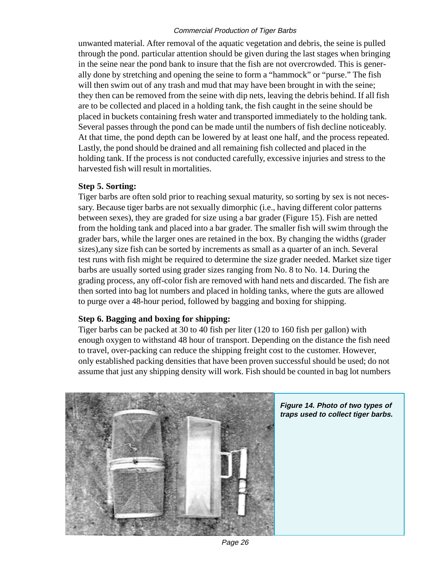unwanted material. After removal of the aquatic vegetation and debris, the seine is pulled through the pond. particular attention should be given during the last stages when bringing in the seine near the pond bank to insure that the fish are not overcrowded. This is generally done by stretching and opening the seine to form a "hammock" or "purse." The fish will then swim out of any trash and mud that may have been brought in with the seine; they then can be removed from the seine with dip nets, leaving the debris behind. If all fish are to be collected and placed in a holding tank, the fish caught in the seine should be placed in buckets containing fresh water and transported immediately to the holding tank. Several passes through the pond can be made until the numbers of fish decline noticeably. At that time, the pond depth can be lowered by at least one half, and the process repeated. Lastly, the pond should be drained and all remaining fish collected and placed in the holding tank. If the process is not conducted carefully, excessive injuries and stress to the harvested fish will result in mortalities.

#### **Step 5. Sorting:**

Tiger barbs are often sold prior to reaching sexual maturity, so sorting by sex is not necessary. Because tiger barbs are not sexually dimorphic (i.e., having different color patterns between sexes), they are graded for size using a bar grader (Figure 15). Fish are netted from the holding tank and placed into a bar grader. The smaller fish will swim through the grader bars, while the larger ones are retained in the box. By changing the widths (grader sizes),any size fish can be sorted by increments as small as a quarter of an inch. Several test runs with fish might be required to determine the size grader needed. Market size tiger barbs are usually sorted using grader sizes ranging from No. 8 to No. 14. During the grading process, any off-color fish are removed with hand nets and discarded. The fish are then sorted into bag lot numbers and placed in holding tanks, where the guts are allowed to purge over a 48-hour period, followed by bagging and boxing for shipping.

#### **Step 6. Bagging and boxing for shipping:**

Tiger barbs can be packed at 30 to 40 fish per liter (120 to 160 fish per gallon) with enough oxygen to withstand 48 hour of transport. Depending on the distance the fish need to travel, over-packing can reduce the shipping freight cost to the customer. However, only established packing densities that have been proven successful should be used; do not assume that just any shipping density will work. Fish should be counted in bag lot numbers



Page 26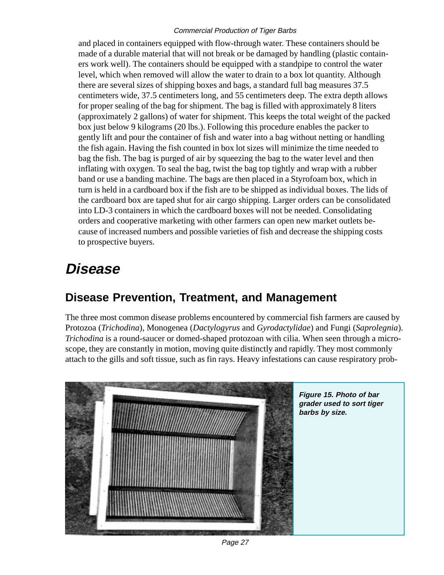and placed in containers equipped with flow-through water. These containers should be made of a durable material that will not break or be damaged by handling (plastic containers work well). The containers should be equipped with a standpipe to control the water level, which when removed will allow the water to drain to a box lot quantity. Although there are several sizes of shipping boxes and bags, a standard full bag measures 37.5 centimeters wide, 37.5 centimeters long, and 55 centimeters deep. The extra depth allows for proper sealing of the bag for shipment. The bag is filled with approximately 8 liters (approximately 2 gallons) of water for shipment. This keeps the total weight of the packed box just below 9 kilograms (20 lbs.). Following this procedure enables the packer to gently lift and pour the container of fish and water into a bag without netting or handling the fish again. Having the fish counted in box lot sizes will minimize the time needed to bag the fish. The bag is purged of air by squeezing the bag to the water level and then inflating with oxygen. To seal the bag, twist the bag top tightly and wrap with a rubber band or use a banding machine. The bags are then placed in a Styrofoam box, which in turn is held in a cardboard box if the fish are to be shipped as individual boxes. The lids of the cardboard box are taped shut for air cargo shipping. Larger orders can be consolidated into LD-3 containers in which the cardboard boxes will not be needed. Consolidating orders and cooperative marketing with other farmers can open new market outlets because of increased numbers and possible varieties of fish and decrease the shipping costs to prospective buyers.

## **Disease**

### **Disease Prevention, Treatment, and Management**

The three most common disease problems encountered by commercial fish farmers are caused by Protozoa (*Trichodina*), Monogenea (*Dactylogyrus* and *Gyrodactylidae*) and Fungi (*Saprolegnia*). *Trichodina* is a round-saucer or domed-shaped protozoan with cilia. When seen through a microscope, they are constantly in motion, moving quite distinctly and rapidly. They most commonly attach to the gills and soft tissue, such as fin rays. Heavy infestations can cause respiratory prob-



Page 27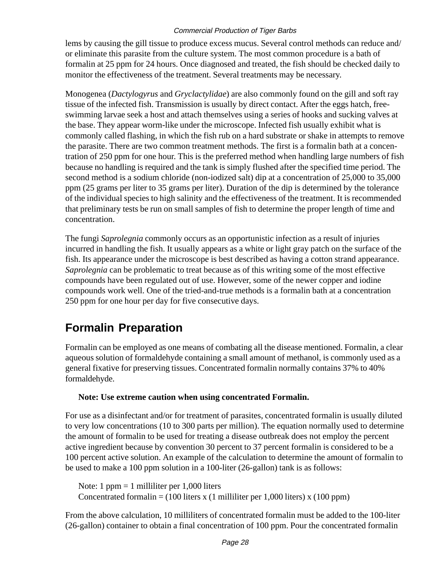lems by causing the gill tissue to produce excess mucus. Several control methods can reduce and/ or eliminate this parasite from the culture system. The most common procedure is a bath of formalin at 25 ppm for 24 hours. Once diagnosed and treated, the fish should be checked daily to monitor the effectiveness of the treatment. Several treatments may be necessary.

Monogenea (*Dactylogyrus* and *Gryclactylidae*) are also commonly found on the gill and soft ray tissue of the infected fish. Transmission is usually by direct contact. After the eggs hatch, freeswimming larvae seek a host and attach themselves using a series of hooks and sucking valves at the base. They appear worm-like under the microscope. Infected fish usually exhibit what is commonly called flashing, in which the fish rub on a hard substrate or shake in attempts to remove the parasite. There are two common treatment methods. The first is a formalin bath at a concentration of 250 ppm for one hour. This is the preferred method when handling large numbers of fish because no handling is required and the tank is simply flushed after the specified time period. The second method is a sodium chloride (non-iodized salt) dip at a concentration of 25,000 to 35,000 ppm (25 grams per liter to 35 grams per liter). Duration of the dip is determined by the tolerance of the individual species to high salinity and the effectiveness of the treatment. It is recommended that preliminary tests be run on small samples of fish to determine the proper length of time and concentration.

The fungi *Saprolegnia* commonly occurs as an opportunistic infection as a result of injuries incurred in handling the fish. It usually appears as a white or light gray patch on the surface of the fish. Its appearance under the microscope is best described as having a cotton strand appearance. *Saprolegnia* can be problematic to treat because as of this writing some of the most effective compounds have been regulated out of use. However, some of the newer copper and iodine compounds work well. One of the tried-and-true methods is a formalin bath at a concentration 250 ppm for one hour per day for five consecutive days.

### **Formalin Preparation**

Formalin can be employed as one means of combating all the disease mentioned. Formalin, a clear aqueous solution of formaldehyde containing a small amount of methanol, is commonly used as a general fixative for preserving tissues. Concentrated formalin normally contains 37% to 40% formaldehyde.

#### **Note: Use extreme caution when using concentrated Formalin.**

For use as a disinfectant and/or for treatment of parasites, concentrated formalin is usually diluted to very low concentrations (10 to 300 parts per million). The equation normally used to determine the amount of formalin to be used for treating a disease outbreak does not employ the percent active ingredient because by convention 30 percent to 37 percent formalin is considered to be a 100 percent active solution. An example of the calculation to determine the amount of formalin to be used to make a 100 ppm solution in a 100-liter (26-gallon) tank is as follows:

Note: 1  $ppm = 1$  milliliter per 1,000 liters Concentrated formalin = (100 liters x (1 milliliter per 1,000 liters) x (100 ppm)

From the above calculation, 10 milliliters of concentrated formalin must be added to the 100-liter (26-gallon) container to obtain a final concentration of 100 ppm. Pour the concentrated formalin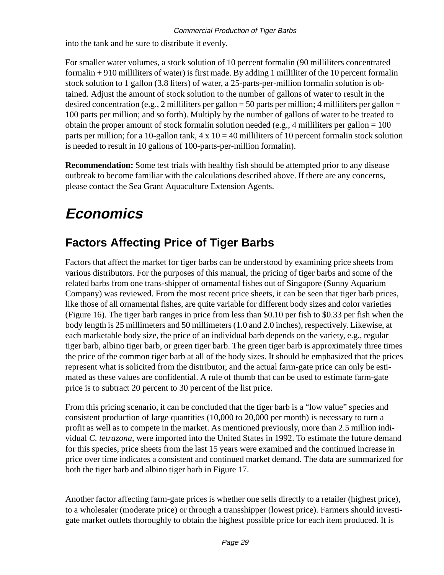into the tank and be sure to distribute it evenly.

For smaller water volumes, a stock solution of 10 percent formalin (90 milliliters concentrated formalin + 910 milliliters of water) is first made. By adding 1 milliliter of the 10 percent formalin stock solution to 1 gallon (3.8 liters) of water, a 25-parts-per-million formalin solution is obtained. Adjust the amount of stock solution to the number of gallons of water to result in the desired concentration (e.g., 2 milliliters per gallon = 50 parts per million; 4 milliliters per gallon = 100 parts per million; and so forth). Multiply by the number of gallons of water to be treated to obtain the proper amount of stock formalin solution needed (e.g., 4 milliliters per gallon  $= 100$ ) parts per million; for a 10-gallon tank,  $4 \times 10 = 40$  milliliters of 10 percent formalin stock solution is needed to result in 10 gallons of 100-parts-per-million formalin).

**Recommendation:** Some test trials with healthy fish should be attempted prior to any disease outbreak to become familiar with the calculations described above. If there are any concerns, please contact the Sea Grant Aquaculture Extension Agents.

# **Economics**

### **Factors Affecting Price of Tiger Barbs**

Factors that affect the market for tiger barbs can be understood by examining price sheets from various distributors. For the purposes of this manual, the pricing of tiger barbs and some of the related barbs from one trans-shipper of ornamental fishes out of Singapore (Sunny Aquarium Company) was reviewed. From the most recent price sheets, it can be seen that tiger barb prices, like those of all ornamental fishes, are quite variable for different body sizes and color varieties (Figure 16). The tiger barb ranges in price from less than \$0.10 per fish to \$0.33 per fish when the body length is 25 millimeters and 50 millimeters (1.0 and 2.0 inches), respectively. Likewise, at each marketable body size, the price of an individual barb depends on the variety, e.g., regular tiger barb, albino tiger barb, or green tiger barb. The green tiger barb is approximately three times the price of the common tiger barb at all of the body sizes. It should be emphasized that the prices represent what is solicited from the distributor, and the actual farm-gate price can only be estimated as these values are confidential. A rule of thumb that can be used to estimate farm-gate price is to subtract 20 percent to 30 percent of the list price.

From this pricing scenario, it can be concluded that the tiger barb is a "low value" species and consistent production of large quantities (10,000 to 20,000 per month) is necessary to turn a profit as well as to compete in the market. As mentioned previously, more than 2.5 million individual *C. tetrazona*, were imported into the United States in 1992. To estimate the future demand for this species, price sheets from the last 15 years were examined and the continued increase in price over time indicates a consistent and continued market demand. The data are summarized for both the tiger barb and albino tiger barb in Figure 17.

Another factor affecting farm-gate prices is whether one sells directly to a retailer (highest price), to a wholesaler (moderate price) or through a transshipper (lowest price). Farmers should investigate market outlets thoroughly to obtain the highest possible price for each item produced. It is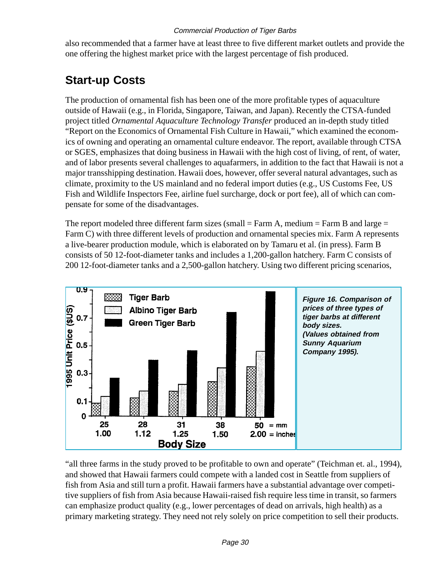also recommended that a farmer have at least three to five different market outlets and provide the one offering the highest market price with the largest percentage of fish produced.

### **Start-up Costs**

The production of ornamental fish has been one of the more profitable types of aquaculture outside of Hawaii (e.g., in Florida, Singapore, Taiwan, and Japan). Recently the CTSA-funded project titled *Ornamental Aquaculture Technology Transfer* produced an in-depth study titled "Report on the Economics of Ornamental Fish Culture in Hawaii," which examined the economics of owning and operating an ornamental culture endeavor. The report, available through CTSA or SGES, emphasizes that doing business in Hawaii with the high cost of living, of rent, of water, and of labor presents several challenges to aquafarmers, in addition to the fact that Hawaii is not a major transshipping destination. Hawaii does, however, offer several natural advantages, such as climate, proximity to the US mainland and no federal import duties (e.g., US Customs Fee, US Fish and Wildlife Inspectors Fee, airline fuel surcharge, dock or port fee), all of which can compensate for some of the disadvantages.

The report modeled three different farm sizes (small  $=$  Farm A, medium  $=$  Farm B and large  $=$ Farm C) with three different levels of production and ornamental species mix. Farm A represents a live-bearer production module, which is elaborated on by Tamaru et al. (in press). Farm B consists of 50 12-foot-diameter tanks and includes a 1,200-gallon hatchery. Farm C consists of 200 12-foot-diameter tanks and a 2,500-gallon hatchery. Using two different pricing scenarios,



"all three farms in the study proved to be profitable to own and operate" (Teichman et. al., 1994), and showed that Hawaii farmers could compete with a landed cost in Seattle from suppliers of fish from Asia and still turn a profit. Hawaii farmers have a substantial advantage over competitive suppliers of fish from Asia because Hawaii-raised fish require less time in transit, so farmers can emphasize product quality (e.g., lower percentages of dead on arrivals, high health) as a primary marketing strategy. They need not rely solely on price competition to sell their products.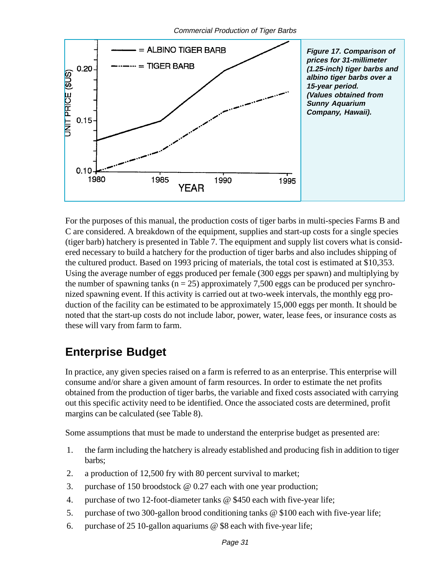

For the purposes of this manual, the production costs of tiger barbs in multi-species Farms B and C are considered. A breakdown of the equipment, supplies and start-up costs for a single species (tiger barb) hatchery is presented in Table 7. The equipment and supply list covers what is considered necessary to build a hatchery for the production of tiger barbs and also includes shipping of the cultured product. Based on 1993 pricing of materials, the total cost is estimated at \$10,353. Using the average number of eggs produced per female (300 eggs per spawn) and multiplying by the number of spawning tanks ( $n = 25$ ) approximately 7,500 eggs can be produced per synchronized spawning event. If this activity is carried out at two-week intervals, the monthly egg production of the facility can be estimated to be approximately 15,000 eggs per month. It should be noted that the start-up costs do not include labor, power, water, lease fees, or insurance costs as these will vary from farm to farm.

### **Enterprise Budget**

In practice, any given species raised on a farm is referred to as an enterprise. This enterprise will consume and/or share a given amount of farm resources. In order to estimate the net profits obtained from the production of tiger barbs, the variable and fixed costs associated with carrying out this specific activity need to be identified. Once the associated costs are determined, profit margins can be calculated (see Table 8).

Some assumptions that must be made to understand the enterprise budget as presented are:

- 1. the farm including the hatchery is already established and producing fish in addition to tiger barbs;
- 2. a production of 12,500 fry with 80 percent survival to market;
- 3. purchase of 150 broodstock @ 0.27 each with one year production;
- 4. purchase of two 12-foot-diameter tanks @ \$450 each with five-year life;
- 5. purchase of two 300-gallon brood conditioning tanks @ \$100 each with five-year life;
- 6. purchase of 25 10-gallon aquariums @ \$8 each with five-year life;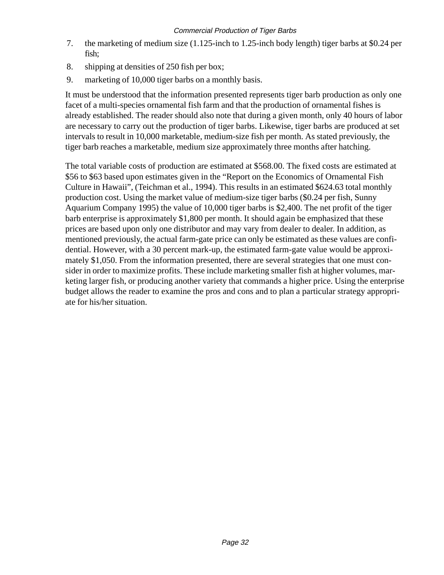- 7. the marketing of medium size (1.125-inch to 1.25-inch body length) tiger barbs at \$0.24 per fish;
- 8. shipping at densities of 250 fish per box;
- 9. marketing of 10,000 tiger barbs on a monthly basis.

It must be understood that the information presented represents tiger barb production as only one facet of a multi-species ornamental fish farm and that the production of ornamental fishes is already established. The reader should also note that during a given month, only 40 hours of labor are necessary to carry out the production of tiger barbs. Likewise, tiger barbs are produced at set intervals to result in 10,000 marketable, medium-size fish per month. As stated previously, the tiger barb reaches a marketable, medium size approximately three months after hatching.

The total variable costs of production are estimated at \$568.00. The fixed costs are estimated at \$56 to \$63 based upon estimates given in the "Report on the Economics of Ornamental Fish Culture in Hawaii", (Teichman et al., 1994). This results in an estimated \$624.63 total monthly production cost. Using the market value of medium-size tiger barbs (\$0.24 per fish, Sunny Aquarium Company 1995) the value of 10,000 tiger barbs is \$2,400. The net profit of the tiger barb enterprise is approximately \$1,800 per month. It should again be emphasized that these prices are based upon only one distributor and may vary from dealer to dealer. In addition, as mentioned previously, the actual farm-gate price can only be estimated as these values are confidential. However, with a 30 percent mark-up, the estimated farm-gate value would be approximately \$1,050. From the information presented, there are several strategies that one must consider in order to maximize profits. These include marketing smaller fish at higher volumes, marketing larger fish, or producing another variety that commands a higher price. Using the enterprise budget allows the reader to examine the pros and cons and to plan a particular strategy appropriate for his/her situation.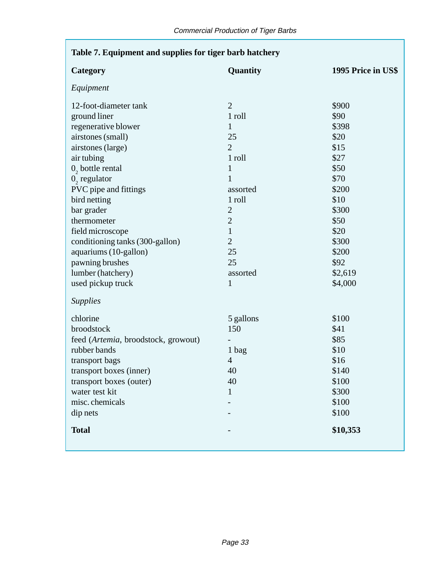г

| Table 7. Equipment and supplies for tiger barb hatchery |                |                    |  |  |
|---------------------------------------------------------|----------------|--------------------|--|--|
| Category                                                | Quantity       | 1995 Price in US\$ |  |  |
| Equipment                                               |                |                    |  |  |
| 12-foot-diameter tank                                   | $\overline{2}$ | \$900              |  |  |
| ground liner                                            | 1 roll         | \$90               |  |  |
| regenerative blower                                     | 1              | \$398              |  |  |
| airstones (small)                                       | 25             | \$20               |  |  |
| airstones (large)                                       | $\overline{2}$ | \$15               |  |  |
| air tubing                                              | 1 roll         | \$27               |  |  |
| $02$ bottle rental                                      | $\mathbf{1}$   | \$50               |  |  |
| $0$ , regulator                                         | $\mathbf{1}$   | \$70               |  |  |
| PVC pipe and fittings                                   | assorted       | \$200              |  |  |
| bird netting                                            | 1 roll         | \$10               |  |  |
| bar grader                                              | $\overline{2}$ | \$300              |  |  |
| thermometer                                             | $\overline{2}$ | \$50               |  |  |
| field microscope                                        | $\mathbf{1}$   | \$20               |  |  |
| conditioning tanks (300-gallon)                         | $\overline{2}$ | \$300              |  |  |
| aquariums (10-gallon)                                   | 25             | \$200              |  |  |
| pawning brushes                                         | 25             | \$92               |  |  |
| lumber (hatchery)                                       | assorted       | \$2,619            |  |  |
| used pickup truck                                       | 1              | \$4,000            |  |  |
| <b>Supplies</b>                                         |                |                    |  |  |
| chlorine                                                | 5 gallons      | \$100              |  |  |
| broodstock                                              | 150            | \$41               |  |  |
| feed (Artemia, broodstock, growout)                     |                | \$85               |  |  |
| rubber bands                                            | 1 bag          | \$10               |  |  |
| transport bags                                          | $\overline{4}$ | \$16               |  |  |
| transport boxes (inner)                                 | 40             | \$140              |  |  |
| transport boxes (outer)                                 | 40             | \$100              |  |  |
| water test kit                                          | $\mathbf{1}$   | \$300              |  |  |
| misc. chemicals                                         |                | \$100              |  |  |
| dip nets                                                |                | \$100              |  |  |
| <b>Total</b>                                            |                | \$10,353           |  |  |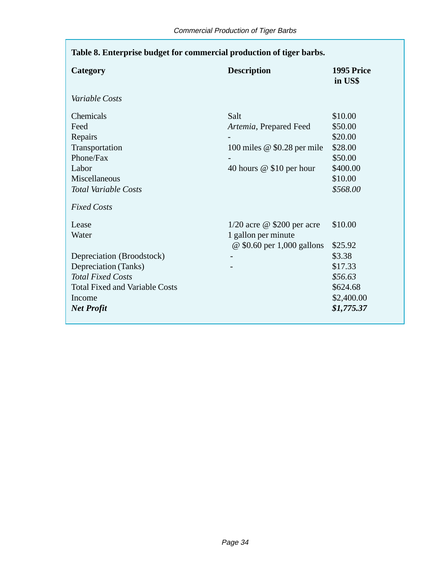| Table 8. Enterprise budget for commercial production of tiger barbs. |                               |                       |  |
|----------------------------------------------------------------------|-------------------------------|-----------------------|--|
| Category                                                             | <b>Description</b>            | 1995 Price<br>in US\$ |  |
| Variable Costs                                                       |                               |                       |  |
| Chemicals                                                            | Salt                          | \$10.00               |  |
| Feed                                                                 | Artemia, Prepared Feed        | \$50.00               |  |
| Repairs                                                              |                               | \$20.00               |  |
| Transportation                                                       | 100 miles $@$ \$0.28 per mile | \$28.00               |  |
| Phone/Fax                                                            |                               | \$50.00               |  |
| Labor                                                                | 40 hours $@$ \$10 per hour    | \$400.00              |  |
| Miscellaneous                                                        |                               | \$10.00               |  |
| <b>Total Variable Costs</b>                                          |                               | \$568.00              |  |
| <b>Fixed Costs</b>                                                   |                               |                       |  |
| Lease                                                                | $1/20$ acre @ \$200 per acre  | \$10.00               |  |
| Water                                                                | 1 gallon per minute           |                       |  |
|                                                                      | @ \$0.60 per 1,000 gallons    | \$25.92               |  |
| Depreciation (Broodstock)                                            |                               | \$3.38                |  |
| Depreciation (Tanks)                                                 |                               | \$17.33               |  |
| <b>Total Fixed Costs</b>                                             |                               | \$56.63               |  |
| <b>Total Fixed and Variable Costs</b>                                |                               | \$624.68              |  |
| Income                                                               |                               | \$2,400.00            |  |
| <b>Net Profit</b>                                                    |                               | \$1,775.37            |  |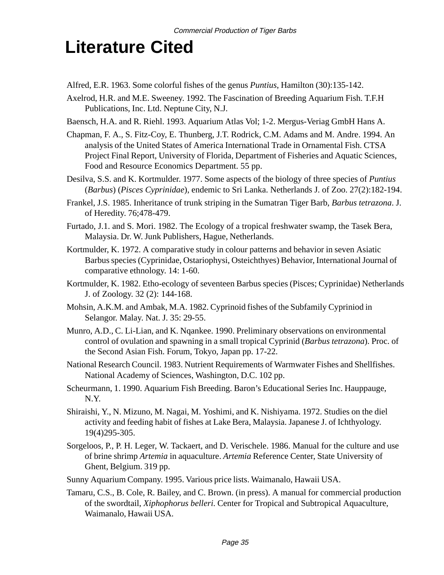# **Literature Cited**

- Alfred, E.R. 1963. Some colorful fishes of the genus *Puntius*, Hamilton (30):135-142.
- Axelrod, H.R. and M.E. Sweeney. 1992. The Fascination of Breeding Aquarium Fish. T.F.H Publications, Inc. Ltd. Neptune City, N.J.
- Baensch, H.A. and R. Riehl. 1993. Aquarium Atlas Vol; 1-2. Mergus-Veriag GmbH Hans A.
- Chapman, F. A., S. Fitz-Coy, E. Thunberg, J.T. Rodrick, C.M. Adams and M. Andre. 1994. An analysis of the United States of America International Trade in Ornamental Fish. CTSA Project Final Report, University of Florida, Department of Fisheries and Aquatic Sciences, Food and Resource Economics Department. 55 pp.
- Desilva, S.S. and K. Kortmulder. 1977. Some aspects of the biology of three species of *Puntius* (*Barbus*) (*Pisces Cyprinidae*), endemic to Sri Lanka. Netherlands J. of Zoo. 27(2):182-194.
- Frankel, J.S. 1985. Inheritance of trunk striping in the Sumatran Tiger Barb, *Barbus tetrazona*. J. of Heredity. 76;478-479.
- Furtado, J.1. and S. Mori. 1982. The Ecology of a tropical freshwater swamp, the Tasek Bera, Malaysia. Dr. W. Junk Publishers, Hague, Netherlands.
- Kortmulder, K. 1972. A comparative study in colour patterns and behavior in seven Asiatic Barbus species (Cyprinidae, Ostariophysi, Osteichthyes) Behavior, International Journal of comparative ethnology. 14: 1-60.
- Kortmulder, K. 1982. Etho-ecology of seventeen Barbus species (Pisces; Cyprinidae) Netherlands J. of Zoology. 32 (2): 144-168.
- Mohsin, A.K.M. and Ambak, M.A. 1982. Cyprinoid fishes of the Subfamily Cypriniod in Selangor. Malay. Nat. J. 35: 29-55.
- Munro, A.D., C. Li-Lian, and K. Nqankee. 1990. Preliminary observations on environmental control of ovulation and spawning in a small tropical Cyprinid (*Barbus tetrazona*). Proc. of the Second Asian Fish. Forum, Tokyo, Japan pp. 17-22.
- National Research Council. 1983. Nutrient Requirements of Warmwater Fishes and Shellfishes. National Academy of Sciences, Washington, D.C. 102 pp.
- Scheurmann, 1. 1990. Aquarium Fish Breeding. Baron's Educational Series Inc. Hauppauge, N.Y.
- Shiraishi, Y., N. Mizuno, M. Nagai, M. Yoshimi, and K. Nishiyama. 1972. Studies on the diel activity and feeding habit of fishes at Lake Bera, Malaysia. Japanese J. of Ichthyology. 19(4)295-305.
- Sorgeloos, P., P. H. Leger, W. Tackaert, and D. Verischele. 1986. Manual for the culture and use of brine shrimp *Artemia* in aquaculture. *Artemia* Reference Center, State University of Ghent, Belgium. 319 pp.
- Sunny Aquarium Company. 1995. Various price lists. Waimanalo, Hawaii USA.
- Tamaru, C.S., B. Cole, R. Bailey, and C. Brown. (in press). A manual for commercial production of the swordtail, *Xiphophorus belleri*. Center for Tropical and Subtropical Aquaculture, Waimanalo, Hawaii USA.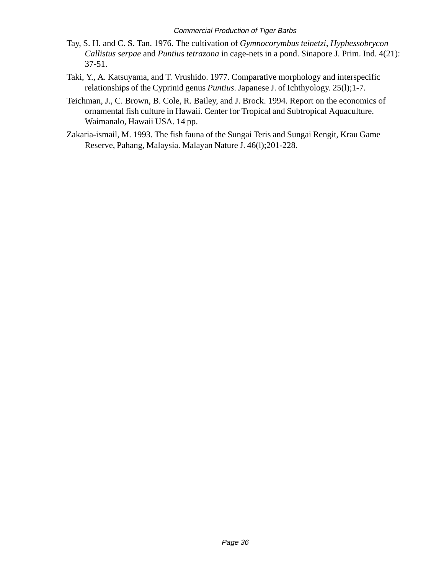- Tay, S. H. and C. S. Tan. 1976. The cultivation of *Gymnocorymbus teinetzi*, *Hyphessobrycon Callistus serpae* and *Puntius tetrazona* in cage-nets in a pond. Sinapore J. Prim. Ind. 4(21): 37-51.
- Taki, Y., A. Katsuyama, and T. Vrushido. 1977. Comparative morphology and interspecific relationships of the Cyprinid genus *Puntius*. Japanese J. of Ichthyology. 25(l);1-7.
- Teichman, J., C. Brown, B. Cole, R. Bailey, and J. Brock. 1994. Report on the economics of ornamental fish culture in Hawaii. Center for Tropical and Subtropical Aquaculture. Waimanalo, Hawaii USA. 14 pp.
- Zakaria-ismail, M. 1993. The fish fauna of the Sungai Teris and Sungai Rengit, Krau Game Reserve, Pahang, Malaysia. Malayan Nature J. 46(l);201-228.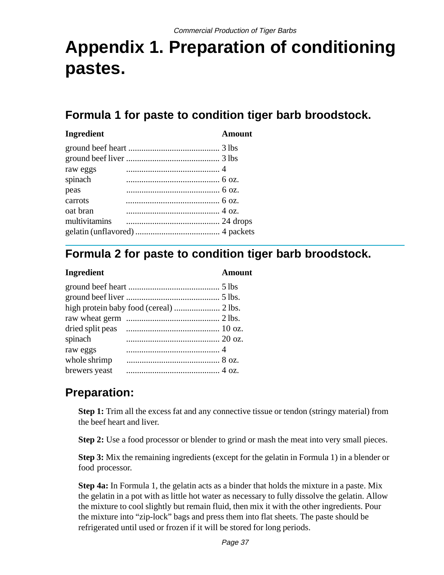# **Appendix 1. Preparation of conditioning pastes.**

### **Formula 1 for paste to condition tiger barb broodstock.**

#### **Ingredient Amount**

### **Formula 2 for paste to condition tiger barb broodstock.**

#### **Ingredient Amount**

| spinach       |  |
|---------------|--|
| raw eggs      |  |
| whole shrimp  |  |
| brewers yeast |  |

### **Preparation:**

**Step 1:** Trim all the excess fat and any connective tissue or tendon (stringy material) from the beef heart and liver.

**Step 2:** Use a food processor or blender to grind or mash the meat into very small pieces.

**Step 3:** Mix the remaining ingredients (except for the gelatin in Formula 1) in a blender or food processor.

**Step 4a:** In Formula 1, the gelatin acts as a binder that holds the mixture in a paste. Mix the gelatin in a pot with as little hot water as necessary to fully dissolve the gelatin. Allow the mixture to cool slightly but remain fluid, then mix it with the other ingredients. Pour the mixture into "zip-lock" bags and press them into flat sheets. The paste should be refrigerated until used or frozen if it will be stored for long periods.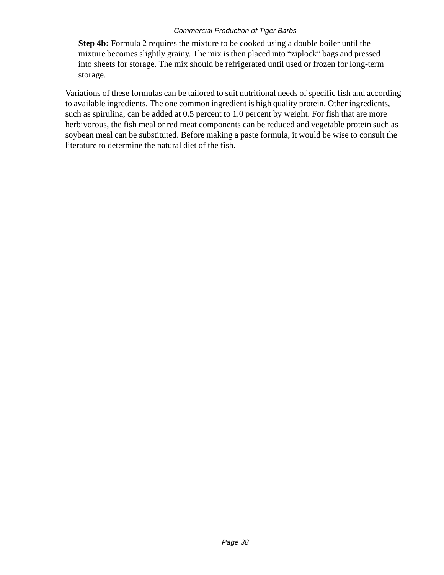**Step 4b:** Formula 2 requires the mixture to be cooked using a double boiler until the mixture becomes slightly grainy. The mix is then placed into "ziplock" bags and pressed into sheets for storage. The mix should be refrigerated until used or frozen for long-term storage.

Variations of these formulas can be tailored to suit nutritional needs of specific fish and according to available ingredients. The one common ingredient is high quality protein. Other ingredients, such as spirulina, can be added at 0.5 percent to 1.0 percent by weight. For fish that are more herbivorous, the fish meal or red meat components can be reduced and vegetable protein such as soybean meal can be substituted. Before making a paste formula, it would be wise to consult the literature to determine the natural diet of the fish.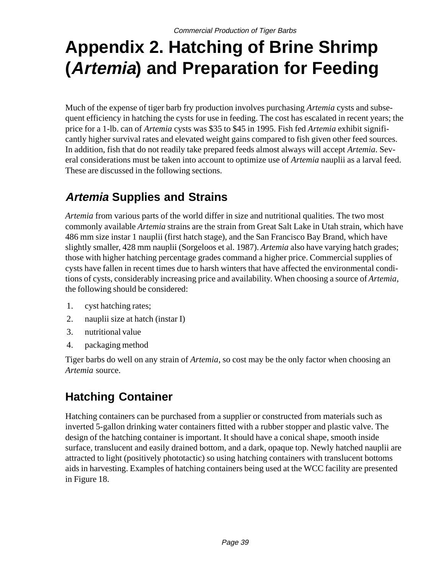# **Appendix 2. Hatching of Brine Shrimp (Artemia) and Preparation for Feeding**

Much of the expense of tiger barb fry production involves purchasing *Artemia* cysts and subsequent efficiency in hatching the cysts for use in feeding. The cost has escalated in recent years; the price for a 1-lb. can of *Artemia* cysts was \$35 to \$45 in 1995. Fish fed *Artemia* exhibit significantly higher survival rates and elevated weight gains compared to fish given other feed sources. In addition, fish that do not readily take prepared feeds almost always will accept *Artemia*. Several considerations must be taken into account to optimize use of *Artemia* nauplii as a larval feed. These are discussed in the following sections.

### **Artemia Supplies and Strains**

*Artemia* from various parts of the world differ in size and nutritional qualities. The two most commonly available *Artemia* strains are the strain from Great Salt Lake in Utah strain, which have 486 mm size instar 1 nauplii (first hatch stage), and the San Francisco Bay Brand, which have slightly smaller, 428 mm nauplii (Sorgeloos et al. 1987). *Artemia* also have varying hatch grades; those with higher hatching percentage grades command a higher price. Commercial supplies of cysts have fallen in recent times due to harsh winters that have affected the environmental conditions of cysts, considerably increasing price and availability. When choosing a source of *Artemia*, the following should be considered:

- 1. cyst hatching rates;
- 2. nauplii size at hatch (instar I)
- 3. nutritional value
- 4. packaging method

Tiger barbs do well on any strain of *Artemia*, so cost may be the only factor when choosing an *Artemia* source.

### **Hatching Container**

Hatching containers can be purchased from a supplier or constructed from materials such as inverted 5-gallon drinking water containers fitted with a rubber stopper and plastic valve. The design of the hatching container is important. It should have a conical shape, smooth inside surface, translucent and easily drained bottom, and a dark, opaque top. Newly hatched nauplii are attracted to light (positively phototactic) so using hatching containers with translucent bottoms aids in harvesting. Examples of hatching containers being used at the WCC facility are presented in Figure 18.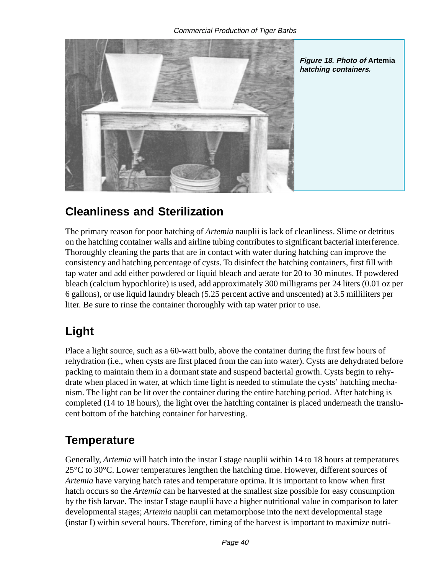

### **Cleanliness and Sterilization**

The primary reason for poor hatching of *Artemia* nauplii is lack of cleanliness. Slime or detritus on the hatching container walls and airline tubing contributes to significant bacterial interference. Thoroughly cleaning the parts that are in contact with water during hatching can improve the consistency and hatching percentage of cysts. To disinfect the hatching containers, first fill with tap water and add either powdered or liquid bleach and aerate for 20 to 30 minutes. If powdered bleach (calcium hypochlorite) is used, add approximately 300 milligrams per 24 liters (0.01 oz per 6 gallons), or use liquid laundry bleach (5.25 percent active and unscented) at 3.5 milliliters per liter. Be sure to rinse the container thoroughly with tap water prior to use.

### **Light**

Place a light source, such as a 60-watt bulb, above the container during the first few hours of rehydration (i.e., when cysts are first placed from the can into water). Cysts are dehydrated before packing to maintain them in a dormant state and suspend bacterial growth. Cysts begin to rehydrate when placed in water, at which time light is needed to stimulate the cysts' hatching mechanism. The light can be lit over the container during the entire hatching period. After hatching is completed (14 to 18 hours), the light over the hatching container is placed underneath the translucent bottom of the hatching container for harvesting.

### **Temperature**

Generally, *Artemia* will hatch into the instar I stage nauplii within 14 to 18 hours at temperatures 25°C to 30°C. Lower temperatures lengthen the hatching time. However, different sources of *Artemia* have varying hatch rates and temperature optima. It is important to know when first hatch occurs so the *Artemia* can be harvested at the smallest size possible for easy consumption by the fish larvae. The instar I stage nauplii have a higher nutritional value in comparison to later developmental stages; *Artemia* nauplii can metamorphose into the next developmental stage (instar I) within several hours. Therefore, timing of the harvest is important to maximize nutri-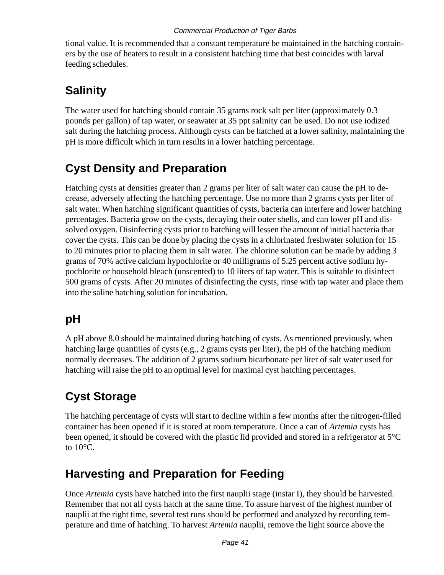tional value. It is recommended that a constant temperature be maintained in the hatching containers by the use of heaters to result in a consistent hatching time that best coincides with larval feeding schedules.

### **Salinity**

The water used for hatching should contain 35 grams rock salt per liter (approximately 0.3 pounds per gallon) of tap water, or seawater at 35 ppt salinity can be used. Do not use iodized salt during the hatching process. Although cysts can be hatched at a lower salinity, maintaining the pH is more difficult which in turn results in a lower hatching percentage.

### **Cyst Density and Preparation**

Hatching cysts at densities greater than 2 grams per liter of salt water can cause the pH to decrease, adversely affecting the hatching percentage. Use no more than 2 grams cysts per liter of salt water. When hatching significant quantities of cysts, bacteria can interfere and lower hatching percentages. Bacteria grow on the cysts, decaying their outer shells, and can lower pH and dissolved oxygen. Disinfecting cysts prior to hatching will lessen the amount of initial bacteria that cover the cysts. This can be done by placing the cysts in a chlorinated freshwater solution for 15 to 20 minutes prior to placing them in salt water. The chlorine solution can be made by adding 3 grams of 70% active calcium hypochlorite or 40 milligrams of 5.25 percent active sodium hypochlorite or household bleach (unscented) to 10 liters of tap water. This is suitable to disinfect 500 grams of cysts. After 20 minutes of disinfecting the cysts, rinse with tap water and place them into the saline hatching solution for incubation.

### **pH**

A pH above 8.0 should be maintained during hatching of cysts. As mentioned previously, when hatching large quantities of cysts (e.g., 2 grams cysts per liter), the pH of the hatching medium normally decreases. The addition of 2 grams sodium bicarbonate per liter of salt water used for hatching will raise the pH to an optimal level for maximal cyst hatching percentages.

### **Cyst Storage**

The hatching percentage of cysts will start to decline within a few months after the nitrogen-filled container has been opened if it is stored at room temperature. Once a can of *Artemia* cysts has been opened, it should be covered with the plastic lid provided and stored in a refrigerator at 5°C to 10°C.

### **Harvesting and Preparation for Feeding**

Once *Artemia* cysts have hatched into the first nauplii stage (instar I), they should be harvested. Remember that not all cysts hatch at the same time. To assure harvest of the highest number of nauplii at the right time, several test runs should be performed and analyzed by recording temperature and time of hatching. To harvest *Artemia* nauplii, remove the light source above the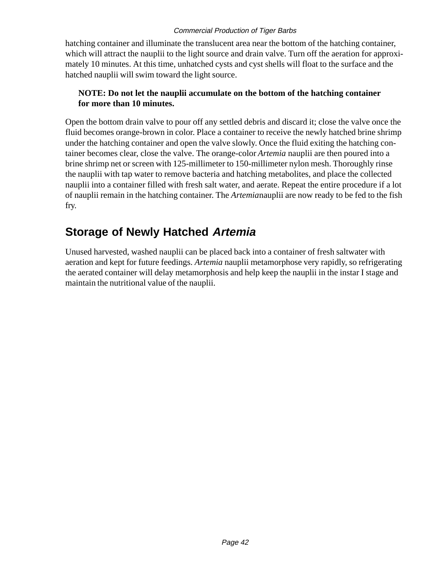hatching container and illuminate the translucent area near the bottom of the hatching container, which will attract the nauplii to the light source and drain valve. Turn off the aeration for approximately 10 minutes. At this time, unhatched cysts and cyst shells will float to the surface and the hatched nauplii will swim toward the light source.

#### **NOTE: Do not let the nauplii accumulate on the bottom of the hatching container for more than 10 minutes.**

Open the bottom drain valve to pour off any settled debris and discard it; close the valve once the fluid becomes orange-brown in color. Place a container to receive the newly hatched brine shrimp under the hatching container and open the valve slowly. Once the fluid exiting the hatching container becomes clear, close the valve. The orange-color *Artemia* nauplii are then poured into a brine shrimp net or screen with 125-millimeter to 150-millimeter nylon mesh. Thoroughly rinse the nauplii with tap water to remove bacteria and hatching metabolites, and place the collected nauplii into a container filled with fresh salt water, and aerate. Repeat the entire procedure if a lot of nauplii remain in the hatching container. The *Artemia*nauplii are now ready to be fed to the fish fry.

### **Storage of Newly Hatched Artemia**

Unused harvested, washed nauplii can be placed back into a container of fresh saltwater with aeration and kept for future feedings. *Artemia* nauplii metamorphose very rapidly, so refrigerating the aerated container will delay metamorphosis and help keep the nauplii in the instar I stage and maintain the nutritional value of the nauplii.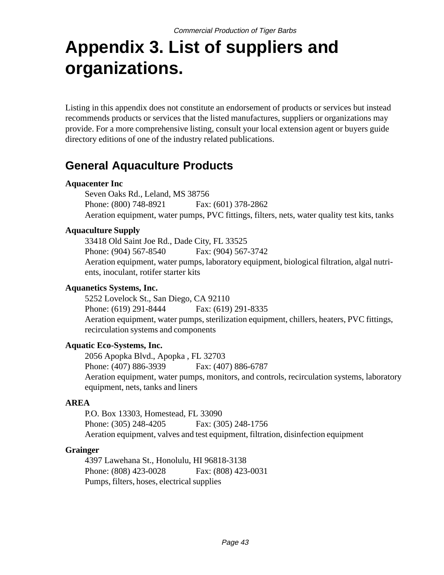# **Appendix 3. List of suppliers and organizations.**

Listing in this appendix does not constitute an endorsement of products or services but instead recommends products or services that the listed manufactures, suppliers or organizations may provide. For a more comprehensive listing, consult your local extension agent or buyers guide directory editions of one of the industry related publications.

### **General Aquaculture Products**

#### **Aquacenter Inc**

Seven Oaks Rd., Leland, MS 38756 Phone: (800) 748-8921 Fax: (601) 378-2862 Aeration equipment, water pumps, PVC fittings, filters, nets, water quality test kits, tanks

#### **Aquaculture Supply**

33418 Old Saint Joe Rd., Dade City, FL 33525 Phone: (904) 567-8540 Fax: (904) 567-3742 Aeration equipment, water pumps, laboratory equipment, biological filtration, algal nutrients, inoculant, rotifer starter kits

#### **Aquanetics Systems, Inc.**

5252 Lovelock St., San Diego, CA 92110 Phone: (619) 291-8444 Fax: (619) 291-8335 Aeration equipment, water pumps, sterilization equipment, chillers, heaters, PVC fittings, recirculation systems and components

#### **Aquatic Eco-Systems, Inc.**

2056 Apopka Blvd., Apopka , FL 32703 Phone: (407) 886-3939 Fax: (407) 886-6787 Aeration equipment, water pumps, monitors, and controls, recirculation systems, laboratory equipment, nets, tanks and liners

#### **AREA**

P.O. Box 13303, Homestead, FL 33090 Phone: (305) 248-4205 Fax: (305) 248-1756 Aeration equipment, valves and test equipment, filtration, disinfection equipment

#### **Grainger**

4397 Lawehana St., Honolulu, HI 96818-3138 Phone: (808) 423-0028 Fax: (808) 423-0031 Pumps, filters, hoses, electrical supplies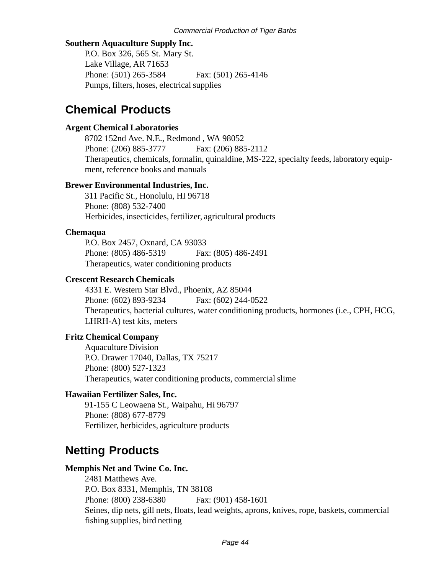#### **Southern Aquaculture Supply Inc.**

P.O. Box 326, 565 St. Mary St. Lake Village, AR 71653 Phone: (501) 265-3584 Fax: (501) 265-4146 Pumps, filters, hoses, electrical supplies

### **Chemical Products**

#### **Argent Chemical Laboratories**

8702 152nd Ave. N.E., Redmond , WA 98052 Phone: (206) 885-3777 Fax: (206) 885-2112 Therapeutics, chemicals, formalin, quinaldine, MS-222, specialty feeds, laboratory equipment, reference books and manuals

#### **Brewer Environmental Industries, Inc.**

311 Pacific St., Honolulu, HI 96718 Phone: (808) 532-7400 Herbicides, insecticides, fertilizer, agricultural products

#### **Chemaqua**

P.O. Box 2457, Oxnard, CA 93033 Phone: (805) 486-5319 Fax: (805) 486-2491 Therapeutics, water conditioning products

#### **Crescent Research Chemicals**

4331 E. Western Star Blvd., Phoenix, AZ 85044 Phone: (602) 893-9234 Fax: (602) 244-0522 Therapeutics, bacterial cultures, water conditioning products, hormones (i.e., CPH, HCG, LHRH-A) test kits, meters

#### **Fritz Chemical Company**

Aquaculture Division P.O. Drawer 17040, Dallas, TX 75217 Phone: (800) 527-1323 Therapeutics, water conditioning products, commercial slime

#### **Hawaiian Fertilizer Sales, Inc.**

91-155 C Leowaena St., Waipahu, Hi 96797 Phone: (808) 677-8779 Fertilizer, herbicides, agriculture products

### **Netting Products**

#### **Memphis Net and Twine Co. Inc.**

2481 Matthews Ave. P.O. Box 8331, Memphis, TN 38108 Phone: (800) 238-6380 Fax: (901) 458-1601 Seines, dip nets, gill nets, floats, lead weights, aprons, knives, rope, baskets, commercial fishing supplies, bird netting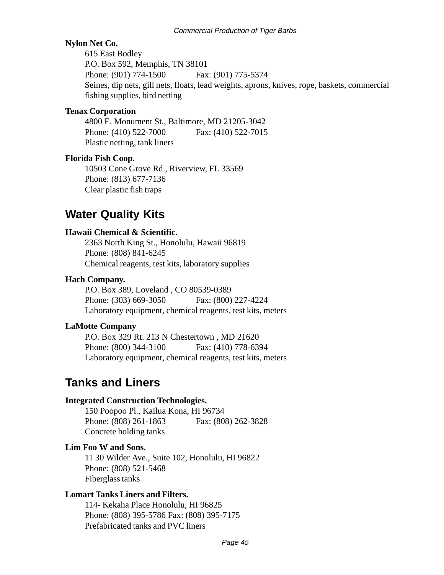#### **Nylon Net Co.**

615 East Bodley P.O. Box 592, Memphis, TN 38101 Phone: (901) 774-1500 Fax: (901) 775-5374 Seines, dip nets, gill nets, floats, lead weights, aprons, knives, rope, baskets, commercial fishing supplies, bird netting

#### **Tenax Corporation**

4800 E. Monument St., Baltimore, MD 21205-3042 Phone: (410) 522-7000 Fax: (410) 522-7015 Plastic netting, tank liners

#### **Florida Fish Coop.**

10503 Cone Grove Rd., Riverview, FL 33569 Phone: (813) 677-7136 Clear plastic fish traps

### **Water Quality Kits**

#### **Hawaii Chemical & Scientific.**

2363 North King St., Honolulu, Hawaii 96819 Phone: (808) 841-6245 Chemical reagents, test kits, laboratory supplies

#### **Hach Company.**

P.O. Box 389, Loveland , CO 80539-0389 Phone: (303) 669-3050 Fax: (800) 227-4224 Laboratory equipment, chemical reagents, test kits, meters

#### **LaMotte Company**

P.O. Box 329 Rt. 213 N Chestertown , MD 21620 Phone: (800) 344-3100 Fax: (410) 778-6394 Laboratory equipment, chemical reagents, test kits, meters

### **Tanks and Liners**

#### **Integrated Construction Technologies.**

150 Poopoo Pl., Kailua Kona, HI 96734 Phone: (808) 261-1863 Fax: (808) 262-3828 Concrete holding tanks

#### **Lim Foo W and Sons.**

11 30 Wilder Ave., Suite 102, Honolulu, HI 96822 Phone: (808) 521-5468 Fiberglass tanks

#### **Lomart Tanks Liners and Filters.**

114- Kekaha Place Honolulu, HI 96825 Phone: (808) 395-5786 Fax: (808) 395-7175 Prefabricated tanks and PVC liners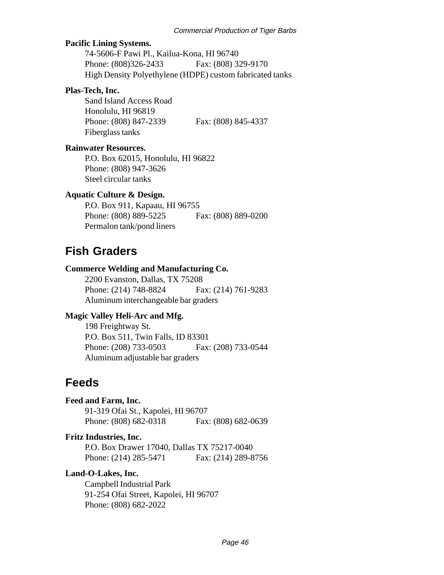#### **Pacific Lining Systems.**

74-5606-F Pawi Pl., Kailua-Kona, HI 96740 Phone: (808)326-2433 Fax: (808) 329-9170 High Density Polyethylene (HDPE) custom fabricated tanks

#### **Plas-Tech, Inc.**

Sand Island Access Road Honolulu, HI 96819 Phone: (808) 847-2339 Fax: (808) 845-4337 Fiberglass tanks

#### **Rainwater Resources.**

P.O. Box 62015, Honolulu, HI 96822 Phone: (808) 947-3626 Steel circular tanks

#### **Aquatic Culture & Design.**

P.O. Box 911, Kapaau, HI 96755 Phone: (808) 889-5225 Fax: (808) 889-0200 Permalon tank/pond liners

### **Fish Graders**

#### **Commerce Welding and Manufacturing Co.**

2200 Evanston, Dallas, TX 75208 Phone: (214) 748-8824 Fax: (214) 761-9283 Aluminum interchangeable bar graders

#### **Magic Valley Heli-Arc and Mfg.**

198 Freightway St. P.O. Box 511, Twin Falls, ID 83301 Phone: (208) 733-0503 Fax: (208) 733-0544 Aluminum adjustable bar graders

### **Feeds**

| <b>Feed and Farm, Inc.</b>         |                     |
|------------------------------------|---------------------|
| 91-319 Ofai St., Kapolei, HI 96707 |                     |
| Phone: (808) 682-0318              | Fax: (808) 682-0639 |
| Fritz Industries, Inc.             |                     |

P.O. Box Drawer 17040, Dallas TX 75217-0040 Phone: (214) 285-5471 Fax: (214) 289-8756

#### **Land-O-Lakes, Inc.**

Campbell Industrial Park 91-254 Ofai Street, Kapolei, HI 96707 Phone: (808) 682-2022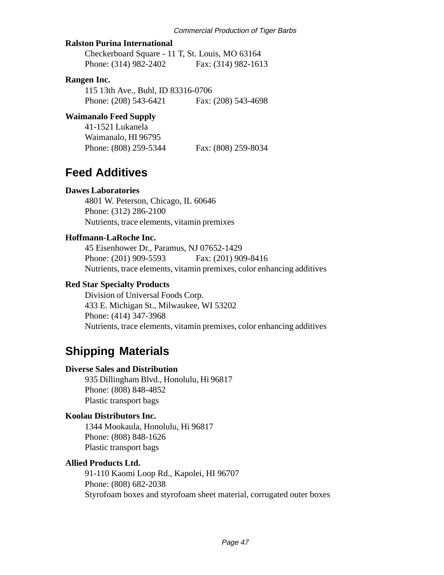#### **Ralston Purina International**

Checkerboard Square - 11 T, St. Louis, MO 63164 Phone: (314) 982-2402 Fax: (314) 982-1613

#### **Rangen Inc.**

115 13th Ave., Buhl, ID 83316-0706 Phone: (208) 543-6421 Fax: (208) 543-4698

#### **Waimanalo Feed Supply**

41-1521 Lukanela Waimanalo, HI 96795 Phone: (808) 259-5344 Fax: (808) 259-8034

### **Feed Additives**

#### **Dawes Laboratories**

4801 W. Peterson, Chicago, IL 60646 Phone: (312) 286-2100 Nutrients, trace elements, vitamin premixes

#### **Hoffmann-LaRoche Inc.**

45 Eisenhower Dr., Paramus, NJ 07652-1429 Phone: (201) 909-5593 Fax: (201) 909-8416 Nutrients, trace elements, vitamin premixes, color enhancing additives

#### **Red Star Specialty Products**

Division of Universal Foods Corp. 433 E. Michigan St., Milwaukee, WI 53202 Phone: (414) 347-3968 Nutrients, trace elements, vitamin premixes, color enhancing additives

### **Shipping Materials**

#### **Diverse Sales and Distribution**

935 Dillingham Blvd., Honolulu, Hi 96817 Phone: (808) 848-4852 Plastic transport bags

#### **Koolau Distributors Inc.**

1344 Mookaula, Honolulu, Hi 96817 Phone: (808) 848-1626 Plastic transport bags

#### **Allied Products Ltd.**

91-110 Kaomi Loop Rd., Kapolei, HI 96707 Phone: (808) 682-2038 Styrofoam boxes and styrofoam sheet material, corrugated outer boxes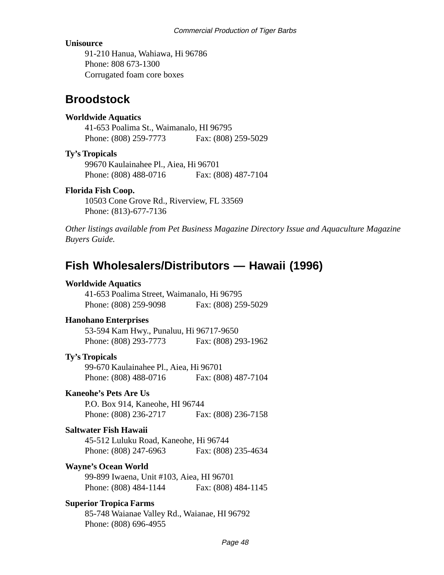#### **Unisource**

91-210 Hanua, Wahiawa, Hi 96786 Phone: 808 673-1300 Corrugated foam core boxes

### **Broodstock**

#### **Worldwide Aquatics**

41-653 Poalima St., Waimanalo, HI 96795 Phone: (808) 259-7773 Fax: (808) 259-5029

#### **Ty's Tropicals**

99670 Kaulainahee Pl., Aiea, Hi 96701 Phone: (808) 488-0716 Fax: (808) 487-7104

#### **Florida Fish Coop.**

10503 Cone Grove Rd., Riverview, FL 33569 Phone: (813)-677-7136

*Other listings available from Pet Business Magazine Directory Issue and Aquaculture Magazine Buyers Guide.*

### **Fish Wholesalers/Distributors — Hawaii (1996)**

#### **Worldwide Aquatics**

41-653 Poalima Street, Waimanalo, Hi 96795 Phone: (808) 259-9098 Fax: (808) 259-5029

#### **Hanohano Enterprises**

53-594 Kam Hwy., Punaluu, Hi 96717-9650 Phone: (808) 293-7773 Fax: (808) 293-1962

#### **Ty's Tropicals**

99-670 Kaulainahee Pl., Aiea, Hi 96701 Phone: (808) 488-0716 Fax: (808) 487-7104

#### **Kaneohe's Pets Are Us**

P.O. Box 914, Kaneohe, HI 96744 Phone: (808) 236-2717 Fax: (808) 236-7158

#### **Saltwater Fish Hawaii**

45-512 Luluku Road, Kaneohe, Hi 96744 Phone: (808) 247-6963 Fax: (808) 235-4634

#### **Wayne's Ocean World**

99-899 Iwaena, Unit #103, Aiea, HI 96701 Phone: (808) 484-1144 Fax: (808) 484-1145

#### **Superior Tropica Farms**

85-748 Waianae Valley Rd., Waianae, HI 96792 Phone: (808) 696-4955